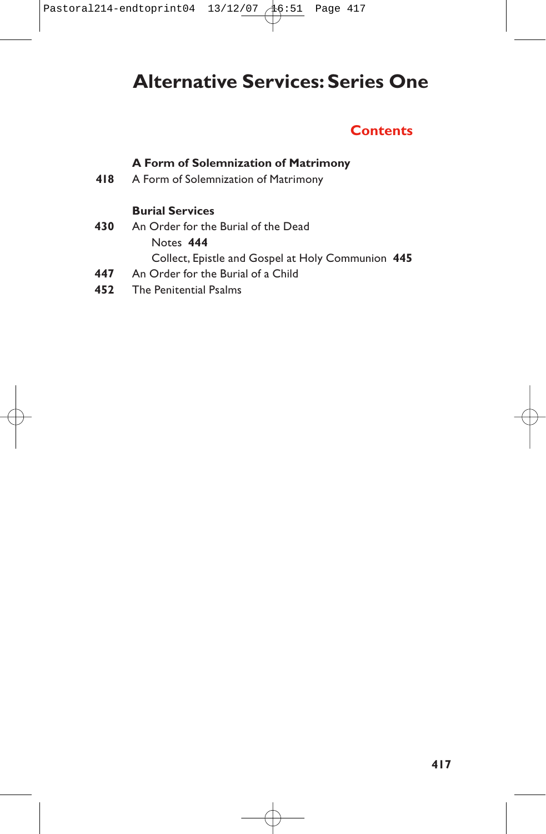# **Alternative Services: Series One**

# **Contents**

## **A Form of Solemnization of Matrimony**

**418** A Form of Solemnization of Matrimony

### **Burial Services**

- **430** An Order for the Burial of the Dead Notes **444** Collect, Epistle and Gospel at Holy Communion **445**
- **447** An Order for the Burial of a Child
- **452** The Penitential Psalms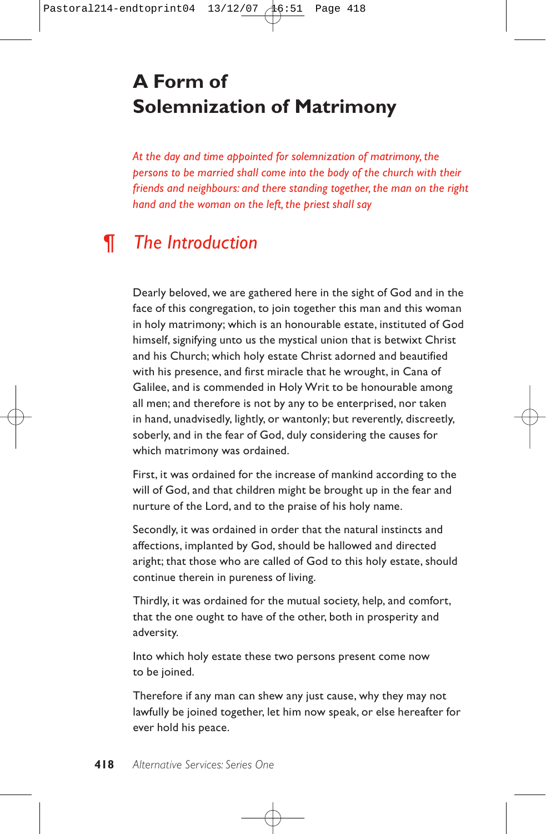# **A Form of Solemnization of Matrimony**

*At the day and time appointed for solemnization of matrimony, the persons to be married shall come into the body of the church with their friends and neighbours: and there standing together, the man on the right hand and the woman on the left, the priest shall say*

# *¶ The Introduction*

Dearly beloved, we are gathered here in the sight of God and in the face of this congregation, to join together this man and this woman in holy matrimony; which is an honourable estate, instituted of God himself, signifying unto us the mystical union that is betwixt Christ and his Church; which holy estate Christ adorned and beautified with his presence, and first miracle that he wrought, in Cana of Galilee, and is commended in Holy Writ to be honourable among all men; and therefore is not by any to be enterprised, nor taken in hand, unadvisedly, lightly, or wantonly; but reverently, discreetly, soberly, and in the fear of God, duly considering the causes for which matrimony was ordained.

First, it was ordained for the increase of mankind according to the will of God, and that children might be brought up in the fear and nurture of the Lord, and to the praise of his holy name.

Secondly, it was ordained in order that the natural instincts and affections, implanted by God, should be hallowed and directed aright; that those who are called of God to this holy estate, should continue therein in pureness of living.

Thirdly, it was ordained for the mutual society, help, and comfort, that the one ought to have of the other, both in prosperity and adversity.

Into which holy estate these two persons present come now to be joined.

Therefore if any man can shew any just cause, why they may not lawfully be joined together, let him now speak, or else hereafter for ever hold his peace.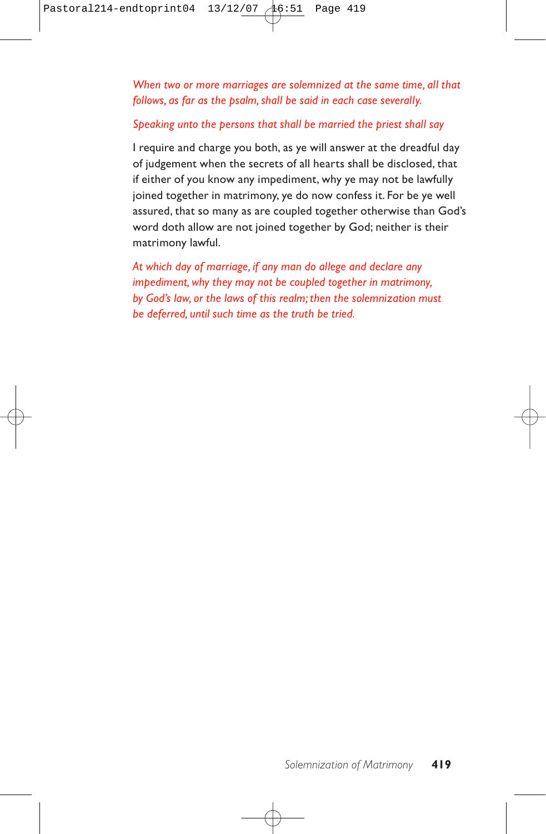*When two or more marriages are solemnized at the same time, all that follows, as far as the psalm, shall be said in each case severally.*

#### *Speaking unto the persons that shall be married the priest shall say*

I require and charge you both, as ye will answer at the dreadful day of judgement when the secrets of all hearts shall be disclosed, that if either of you know any impediment, why ye may not be lawfully joined together in matrimony, ye do now confess it. For be ye well assured, that so many as are coupled together otherwise than God's word doth allow are not joined together by God; neither is their matrimony lawful.

*At which day of marriage, if any man do allege and declare any impediment, why they may not be coupled together in matrimony, by God's law, or the laws of this realm; then the solemnization must be deferred, until such time as the truth be tried.*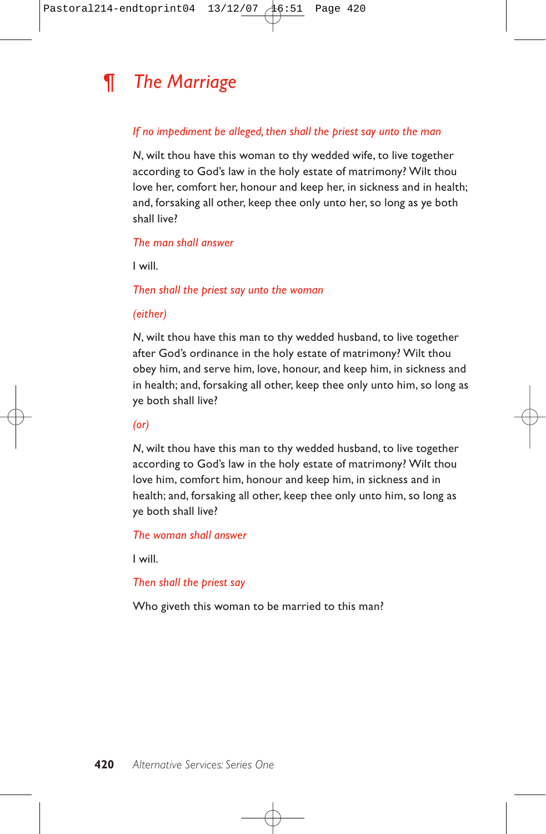

#### *If no impediment be alleged, then shall the priest say unto the man*

*N*, wilt thou have this woman to thy wedded wife, to live together according to God's law in the holy estate of matrimony? Wilt thou love her, comfort her, honour and keep her, in sickness and in health; and, forsaking all other, keep thee only unto her, so long as ye both shall live?

#### *The man shall answer*

I will.

*Then shall the priest say unto the woman*

#### *(either)*

*N*, wilt thou have this man to thy wedded husband, to live together after God's ordinance in the holy estate of matrimony? Wilt thou obey him, and serve him, love, honour, and keep him, in sickness and in health; and, forsaking all other, keep thee only unto him, so long as ye both shall live?

*(or)*

*N*, wilt thou have this man to thy wedded husband, to live together according to God's law in the holy estate of matrimony? Wilt thou love him, comfort him, honour and keep him, in sickness and in health; and, forsaking all other, keep thee only unto him, so long as ye both shall live?

*The woman shall answer*

I will.

#### *Then shall the priest say*

Who giveth this woman to be married to this man?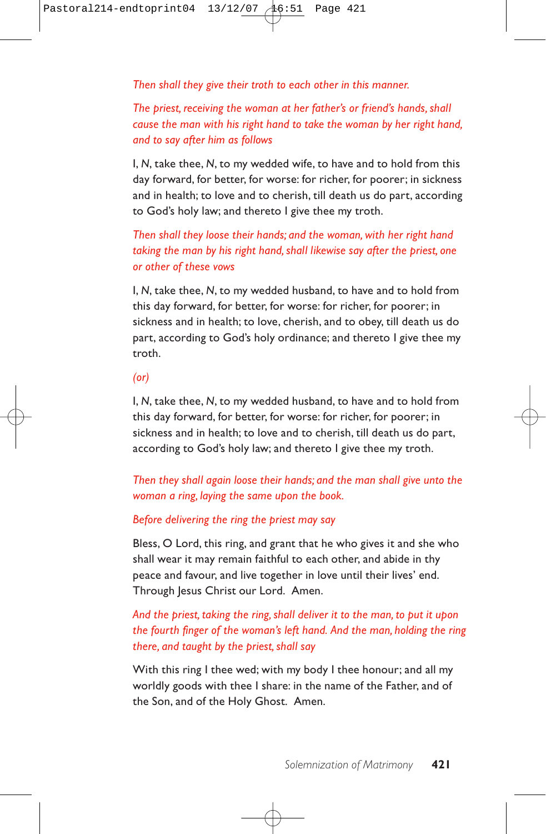*Then shall they give their troth to each other in this manner.*

*The priest, receiving the woman at her father's or friend's hands, shall cause the man with his right hand to take the woman by her right hand, and to say after him as follows*

I, *N*, take thee, *N*, to my wedded wife, to have and to hold from this day forward, for better, for worse: for richer, for poorer; in sickness and in health; to love and to cherish, till death us do part, according to God's holy law; and thereto I give thee my troth.

*Then shall they loose their hands; and the woman, with her right hand taking the man by his right hand, shall likewise say after the priest, one or other of these vows*

I, *N*, take thee, *N*, to my wedded husband, to have and to hold from this day forward, for better, for worse: for richer, for poorer; in sickness and in health; to love, cherish, and to obey, till death us do part, according to God's holy ordinance; and thereto I give thee my troth.

#### *(or)*

I, *N*, take thee, *N*, to my wedded husband, to have and to hold from this day forward, for better, for worse: for richer, for poorer; in sickness and in health; to love and to cherish, till death us do part, according to God's holy law; and thereto I give thee my troth.

*Then they shall again loose their hands; and the man shall give unto the woman a ring, laying the same upon the book.*

#### *Before delivering the ring the priest may say*

Bless, O Lord, this ring, and grant that he who gives it and she who shall wear it may remain faithful to each other, and abide in thy peace and favour, and live together in love until their lives' end. Through Jesus Christ our Lord. Amen.

## *And the priest, taking the ring, shall deliver it to the man, to put it upon the fourth finger of the woman's left hand. And the man, holding the ring there, and taught by the priest, shall say*

With this ring I thee wed; with my body I thee honour; and all my worldly goods with thee I share: in the name of the Father, and of the Son, and of the Holy Ghost. Amen.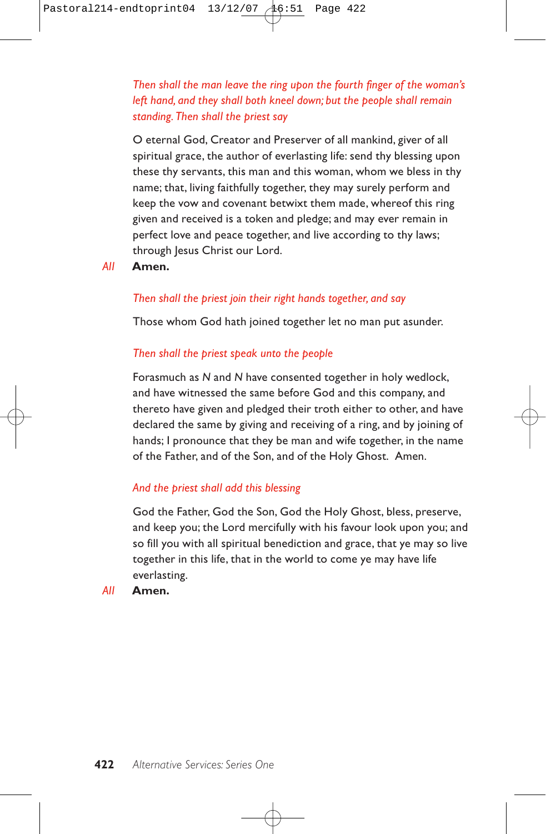*Then shall the man leave the ring upon the fourth finger of the woman's left hand, and they shall both kneel down; but the people shall remain standing.Then shall the priest say*

O eternal God, Creator and Preserver of all mankind, giver of all spiritual grace, the author of everlasting life: send thy blessing upon these thy servants, this man and this woman, whom we bless in thy name; that, living faithfully together, they may surely perform and keep the vow and covenant betwixt them made, whereof this ring given and received is a token and pledge; and may ever remain in perfect love and peace together, and live according to thy laws; through Jesus Christ our Lord.

*All* **Amen.**

#### *Then shall the priest join their right hands together, and say*

Those whom God hath joined together let no man put asunder.

#### *Then shall the priest speak unto the people*

Forasmuch as *N* and *N* have consented together in holy wedlock, and have witnessed the same before God and this company, and thereto have given and pledged their troth either to other, and have declared the same by giving and receiving of a ring, and by joining of hands; I pronounce that they be man and wife together, in the name of the Father, and of the Son, and of the Holy Ghost. Amen.

#### *And the priest shall add this blessing*

God the Father, God the Son, God the Holy Ghost, bless, preserve, and keep you; the Lord mercifully with his favour look upon you; and so fill you with all spiritual benediction and grace, that ye may so live together in this life, that in the world to come ye may have life everlasting.

*All* **Amen.**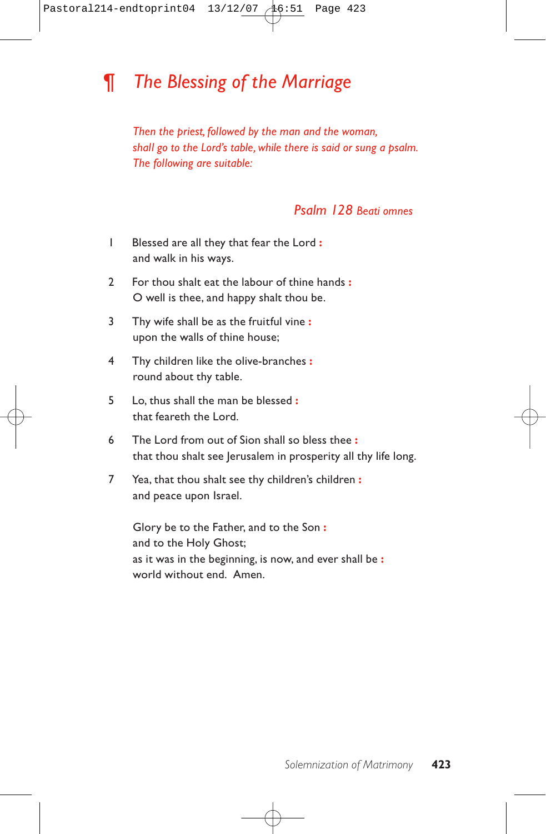# *¶ The Blessing of the Marriage*

*Then the priest, followed by the man and the woman, shall go to the Lord's table, while there is said or sung a psalm. The following are suitable:*

## *Psalm 128 Beati omnes*

- 1 Blessed are all they that fear the Lord **:** and walk in his ways.
- 2 For thou shalt eat the labour of thine hands **:** O well is thee, and happy shalt thou be.
- 3 Thy wife shall be as the fruitful vine **:** upon the walls of thine house;
- 4 Thy children like the olive-branches **:** round about thy table.
- 5 Lo, thus shall the man be blessed **:** that feareth the Lord.
- 6 The Lord from out of Sion shall so bless thee **:** that thou shalt see Jerusalem in prosperity all thy life long.
- 7 Yea, that thou shalt see thy children's children **:** and peace upon Israel.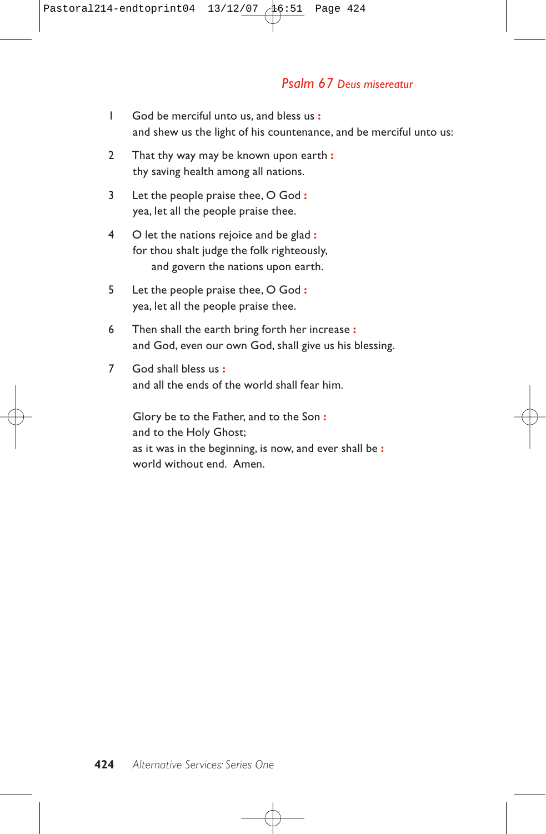## *Psalm 67 Deus misereatur*

- 1 God be merciful unto us, and bless us **:** and shew us the light of his countenance, and be merciful unto us:
- 2 That thy way may be known upon earth **:** thy saving health among all nations.
- 3 Let the people praise thee, O God **:** yea, let all the people praise thee.
- 4 O let the nations rejoice and be glad **:** for thou shalt judge the folk righteously, and govern the nations upon earth.
- 5 Let the people praise thee, O God **:** yea, let all the people praise thee.
- 6 Then shall the earth bring forth her increase **:** and God, even our own God, shall give us his blessing.
- 7 God shall bless us **:** and all the ends of the world shall fear him.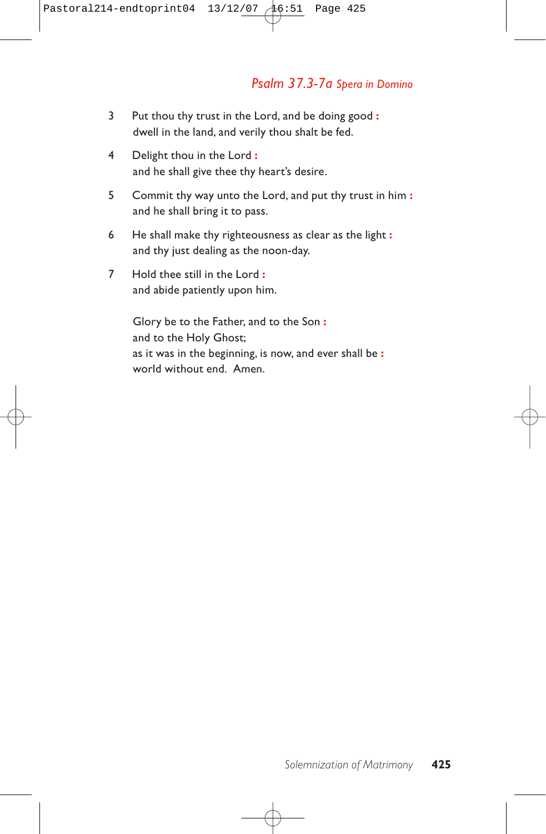## *Psalm 37.3-7a Spera in Domino*

- 3 Put thou thy trust in the Lord, and be doing good **:** dwell in the land, and verily thou shalt be fed.
- 4 Delight thou in the Lord **:** and he shall give thee thy heart's desire.
- 5 Commit thy way unto the Lord, and put thy trust in him **:** and he shall bring it to pass.
- 6 He shall make thy righteousness as clear as the light **:** and thy just dealing as the noon-day.
- 7 Hold thee still in the Lord **:** and abide patiently upon him.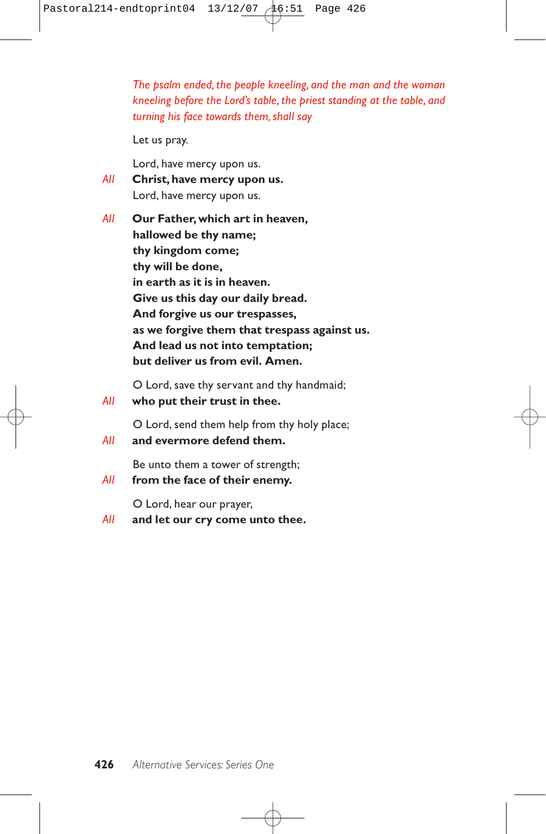*The psalm ended, the people kneeling, and the man and the woman kneeling before the Lord's table, the priest standing at the table, and turning his face towards them, shall say*

Let us pray.

Lord, have mercy upon us.

- *All* **Christ, have mercy upon us.** Lord, have mercy upon us.
- *All* **Our Father, which art in heaven, hallowed be thy name; thy kingdom come; thy will be done, in earth as it is in heaven. Give us this day our daily bread. And forgive us our trespasses, as we forgive them that trespass against us. And lead us not into temptation; but deliver us from evil. Amen.**

O Lord, save thy servant and thy handmaid;

*All* **who put their trust in thee.**

O Lord, send them help from thy holy place;

*All* **and evermore defend them.**

Be unto them a tower of strength;

*All* **from the face of their enemy.**

O Lord, hear our prayer,

*All* **and let our cry come unto thee.**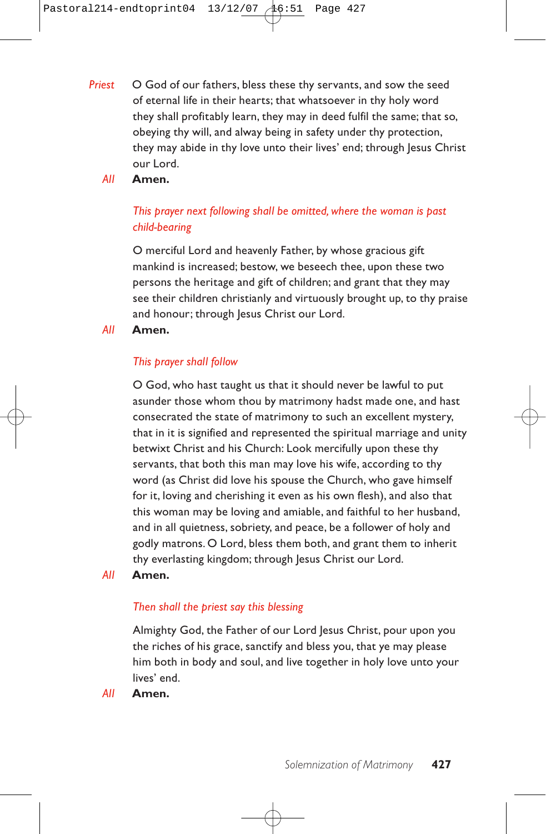- *Priest* O God of our fathers, bless these thy servants, and sow the seed of eternal life in their hearts; that whatsoever in thy holy word they shall profitably learn, they may in deed fulfil the same; that so, obeying thy will, and alway being in safety under thy protection, they may abide in thy love unto their lives' end; through Jesus Christ our Lord.
	- *All* **Amen.**

## *This prayer next following shall be omitted, where the woman is past child-bearing*

O merciful Lord and heavenly Father, by whose gracious gift mankind is increased; bestow, we beseech thee, upon these two persons the heritage and gift of children; and grant that they may see their children christianly and virtuously brought up, to thy praise and honour; through Jesus Christ our Lord.

*All* **Amen.**

### *This prayer shall follow*

O God, who hast taught us that it should never be lawful to put asunder those whom thou by matrimony hadst made one, and hast consecrated the state of matrimony to such an excellent mystery, that in it is signified and represented the spiritual marriage and unity betwixt Christ and his Church: Look mercifully upon these thy servants, that both this man may love his wife, according to thy word (as Christ did love his spouse the Church, who gave himself for it, loving and cherishing it even as his own flesh), and also that this woman may be loving and amiable, and faithful to her husband, and in all quietness, sobriety, and peace, be a follower of holy and godly matrons. O Lord, bless them both, and grant them to inherit thy everlasting kingdom; through Jesus Christ our Lord.

*All* **Amen.**

### *Then shall the priest say this blessing*

Almighty God, the Father of our Lord Jesus Christ, pour upon you the riches of his grace, sanctify and bless you, that ye may please him both in body and soul, and live together in holy love unto your lives' end.

*All* **Amen.**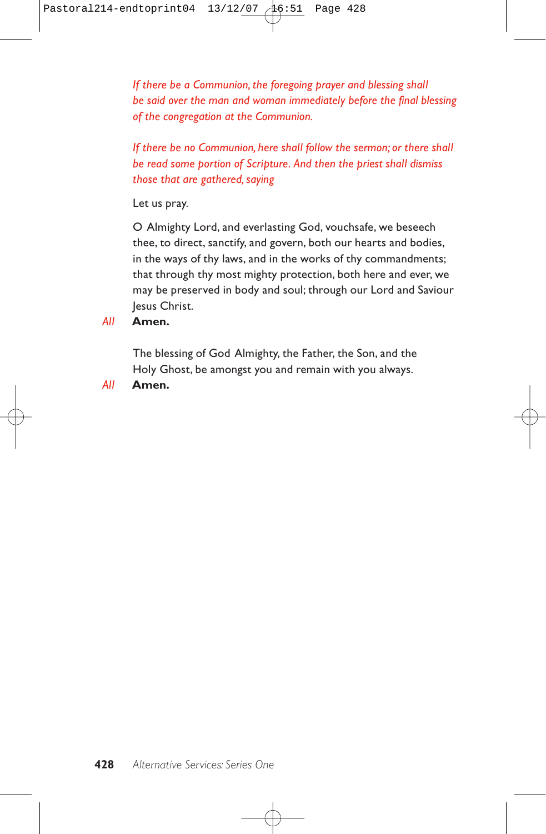*If there be a Communion, the foregoing prayer and blessing shall be said over the man and woman immediately before the final blessing of the congregation at the Communion.*

*If there be no Communion, here shall follow the sermon; or there shall be read some portion of Scripture. And then the priest shall dismiss those that are gathered, saying*

Let us pray.

O Almighty Lord, and everlasting God, vouchsafe, we beseech thee, to direct, sanctify, and govern, both our hearts and bodies, in the ways of thy laws, and in the works of thy commandments; that through thy most mighty protection, both here and ever, we may be preserved in body and soul; through our Lord and Saviour Jesus Christ.

*All* **Amen.**

The blessing of God Almighty, the Father, the Son, and the Holy Ghost, be amongst you and remain with you always.

*All* **Amen.**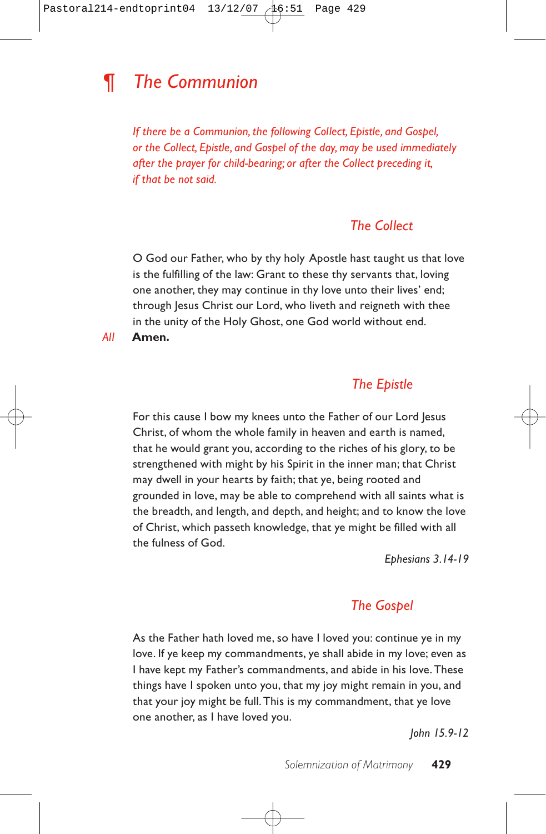# *¶ The Communion*

*If there be a Communion, the following Collect, Epistle, and Gospel, or the Collect, Epistle, and Gospel of the day, may be used immediately after the prayer for child-bearing; or after the Collect preceding it, if that be not said.*

## *The Collect*

O God our Father, who by thy holy Apostle hast taught us that love is the fulfilling of the law: Grant to these thy servants that, loving one another, they may continue in thy love unto their lives' end; through Jesus Christ our Lord, who liveth and reigneth with thee in the unity of the Holy Ghost, one God world without end.

*All* **Amen.**

## *The Epistle*

For this cause I bow my knees unto the Father of our Lord Jesus Christ, of whom the whole family in heaven and earth is named, that he would grant you, according to the riches of his glory, to be strengthened with might by his Spirit in the inner man; that Christ may dwell in your hearts by faith; that ye, being rooted and grounded in love, may be able to comprehend with all saints what is the breadth, and length, and depth, and height; and to know the love of Christ, which passeth knowledge, that ye might be filled with all the fulness of God.

*Ephesians 3.14-19*

## *The Gospel*

As the Father hath loved me, so have I loved you: continue ye in my love. If ye keep my commandments, ye shall abide in my love; even as I have kept my Father's commandments, and abide in his love. These things have I spoken unto you, that my joy might remain in you, and that your joy might be full. This is my commandment, that ye love one another, as I have loved you.

*John 15.9-12*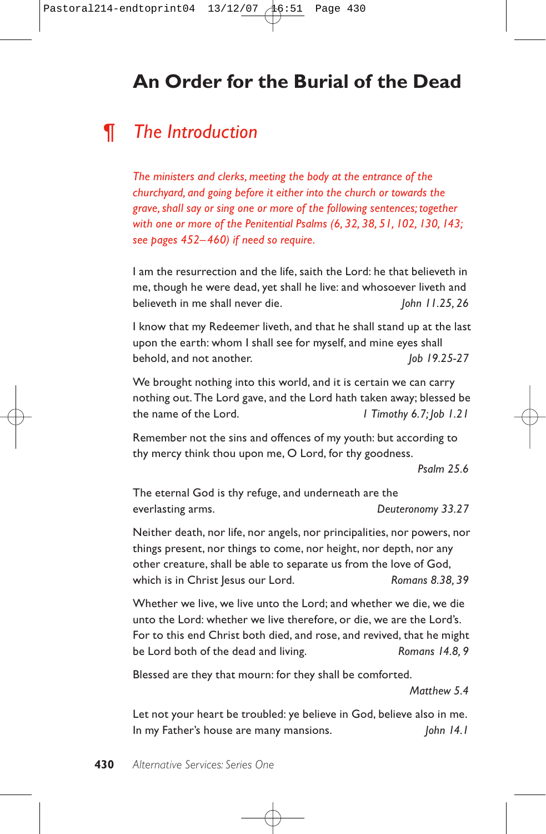# **An Order for the Burial of the Dead**

# *¶ The Introduction*

*The ministers and clerks, meeting the body at the entrance of the churchyard, and going before it either into the church or towards the grave, shall say or sing one or more of the following sentences; together with one or more of the Penitential Psalms (6, 32, 38, 51, 102, 130, 143; see pages 452–460) if need so require.*

I am the resurrection and the life, saith the Lord: he that believeth in me, though he were dead, yet shall he live: and whosoever liveth and believeth in me shall never die. **John 11.25, 26** 

I know that my Redeemer liveth, and that he shall stand up at the last upon the earth: whom I shall see for myself, and mine eyes shall behold, and not another. *Job 19.25-27* 

We brought nothing into this world, and it is certain we can carry nothing out. The Lord gave, and the Lord hath taken away; blessed be the name of the Lord. *1 Timothy 6.7; Job 1.21*

Remember not the sins and offences of my youth: but according to thy mercy think thou upon me, O Lord, for thy goodness.

*Psalm 25.6*

The eternal God is thy refuge, and underneath are the everlasting arms. *Deuteronomy 33.27*

Neither death, nor life, nor angels, nor principalities, nor powers, nor things present, nor things to come, nor height, nor depth, nor any other creature, shall be able to separate us from the love of God, which is in Christ Jesus our Lord. **Romans 8.38, 39** 

Whether we live, we live unto the Lord; and whether we die, we die unto the Lord: whether we live therefore, or die, we are the Lord's. For to this end Christ both died, and rose, and revived, that he might be Lord both of the dead and living. *Romans 14.8, 9*

Blessed are they that mourn: for they shall be comforted.

*Matthew 5.4*

Let not your heart be troubled: ye believe in God, believe also in me. In my Father's house are many mansions. *John 14.1*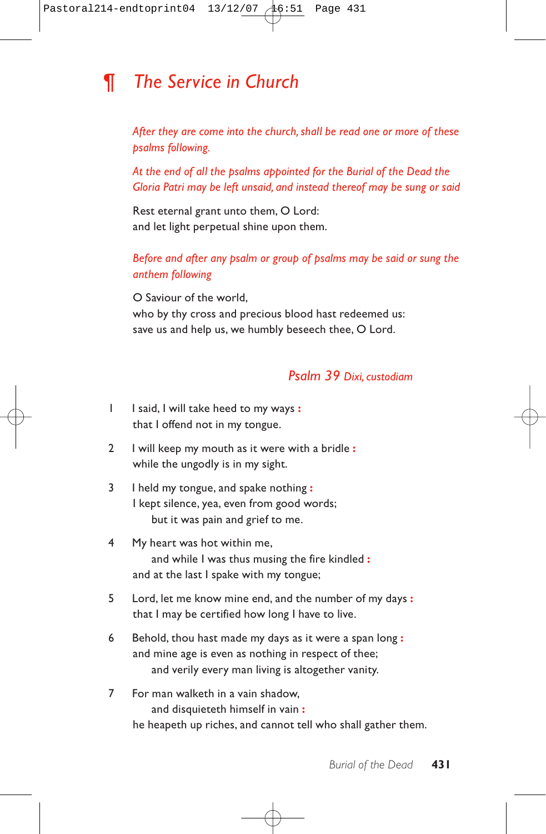# *¶ The Service in Church*

*After they are come into the church, shall be read one or more of these psalms following.*

*At the end of all the psalms appointed for the Burial of the Dead the Gloria Patri may be left unsaid, and instead thereof may be sung or said*

Rest eternal grant unto them, O Lord: and let light perpetual shine upon them.

### *Before and after any psalm or group of psalms may be said or sung the anthem following*

O Saviour of the world, who by thy cross and precious blood hast redeemed us: save us and help us, we humbly beseech thee, O Lord.

## *Psalm 39 Dixi, custodiam*

- 1 I said, I will take heed to my ways **:** that I offend not in my tongue.
- 2 I will keep my mouth as it were with a bridle **:** while the ungodly is in my sight.
- 3 I held my tongue, and spake nothing **:** I kept silence, yea, even from good words; but it was pain and grief to me.
- 4 My heart was hot within me, and while I was thus musing the fire kindled **:** and at the last I spake with my tongue;
- 5 Lord, let me know mine end, and the number of my days **:** that I may be certified how long I have to live.
- 6 Behold, thou hast made my days as it were a span long **:** and mine age is even as nothing in respect of thee; and verily every man living is altogether vanity.
- 7 For man walketh in a vain shadow, and disquieteth himself in vain **:** he heapeth up riches, and cannot tell who shall gather them.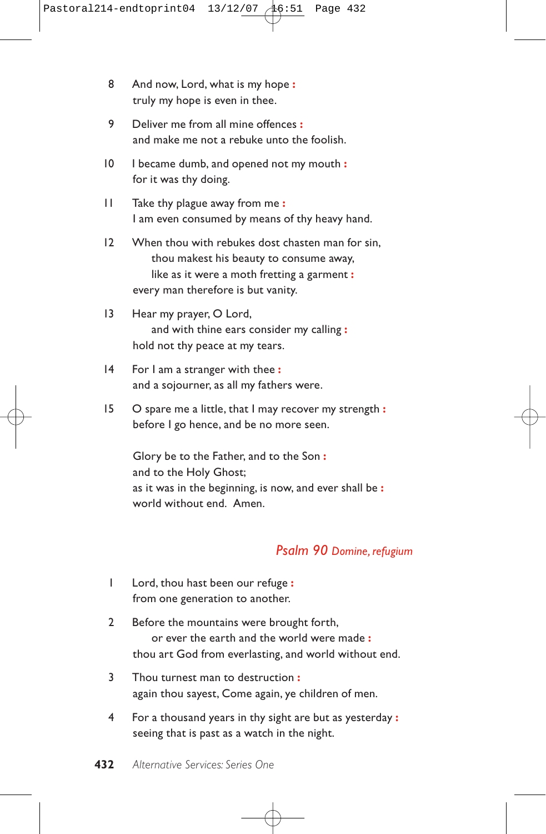- 8 And now, Lord, what is my hope **:** truly my hope is even in thee.
- 9 Deliver me from all mine offences **:** and make me not a rebuke unto the foolish.
- 10 I became dumb, and opened not my mouth **:** for it was thy doing.
- 11 Take thy plague away from me **:** I am even consumed by means of thy heavy hand.
- 12 When thou with rebukes dost chasten man for sin, thou makest his beauty to consume away, like as it were a moth fretting a garment **:** every man therefore is but vanity.
- 13 Hear my prayer, O Lord, and with thine ears consider my calling **:** hold not thy peace at my tears.
- 14 For I am a stranger with thee **:** and a sojourner, as all my fathers were.
- 15 O spare me a little, that I may recover my strength **:** before I go hence, and be no more seen.

Glory be to the Father, and to the Son **:** and to the Holy Ghost; as it was in the beginning, is now, and ever shall be **:** world without end. Amen.

## *Psalm 90 Domine, refugium*

- 1 Lord, thou hast been our refuge **:** from one generation to another.
- 2 Before the mountains were brought forth, or ever the earth and the world were made **:** thou art God from everlasting, and world without end.
- 3 Thou turnest man to destruction **:** again thou sayest, Come again, ye children of men.
- 4 For a thousand years in thy sight are but as yesterday **:** seeing that is past as a watch in the night.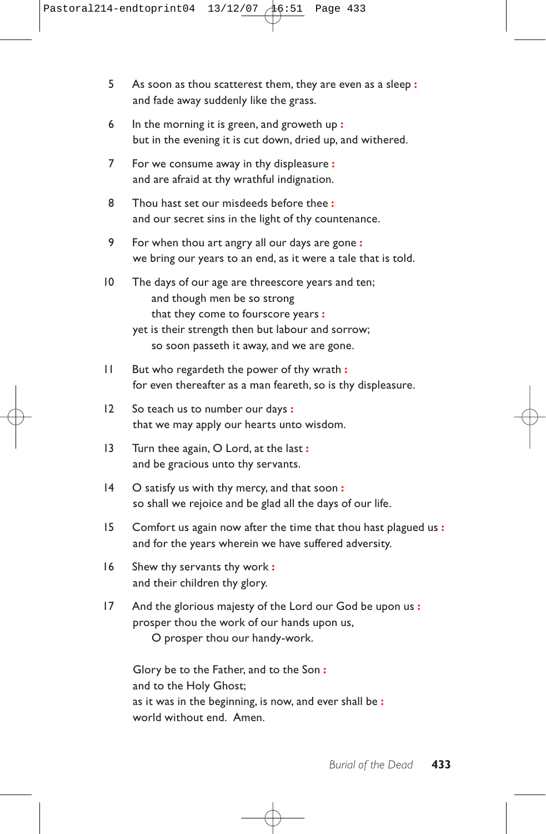- 5 As soon as thou scatterest them, they are even as a sleep **:** and fade away suddenly like the grass.
- 6 In the morning it is green, and groweth up **:** but in the evening it is cut down, dried up, and withered.
- 7 For we consume away in thy displeasure **:** and are afraid at thy wrathful indignation.
- 8 Thou hast set our misdeeds before thee **:** and our secret sins in the light of thy countenance.
- 9 For when thou art angry all our days are gone **:** we bring our years to an end, as it were a tale that is told.
- 10 The days of our age are threescore years and ten; and though men be so strong that they come to fourscore years **:** yet is their strength then but labour and sorrow; so soon passeth it away, and we are gone.
- 11 But who regardeth the power of thy wrath **:** for even thereafter as a man feareth, so is thy displeasure.
- 12 So teach us to number our days **:** that we may apply our hearts unto wisdom.
- 13 Turn thee again, O Lord, at the last **:** and be gracious unto thy servants.
- 14 O satisfy us with thy mercy, and that soon **:** so shall we rejoice and be glad all the days of our life.
- 15 Comfort us again now after the time that thou hast plagued us **:** and for the years wherein we have suffered adversity.
- 16 Shew thy servants thy work **:** and their children thy glory.
- 17 And the glorious majesty of the Lord our God be upon us **:** prosper thou the work of our hands upon us,

O prosper thou our handy-work.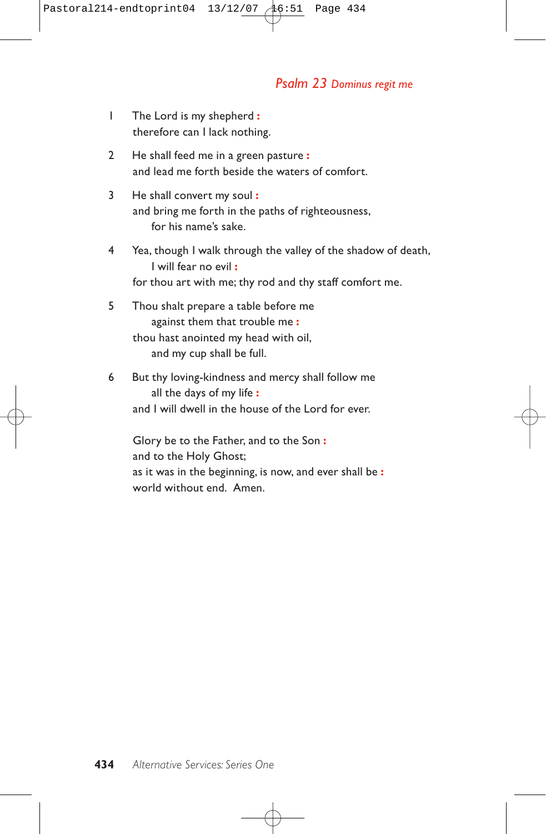### *Psalm 23 Dominus regit me*

- 1 The Lord is my shepherd **:** therefore can I lack nothing.
- 2 He shall feed me in a green pasture **:** and lead me forth beside the waters of comfort.
- 3 He shall convert my soul **:** and bring me forth in the paths of righteousness, for his name's sake.
- 4 Yea, though I walk through the valley of the shadow of death, I will fear no evil **:** for thou art with me; thy rod and thy staff comfort me.
- 5 Thou shalt prepare a table before me against them that trouble me **:** thou hast anointed my head with oil, and my cup shall be full.
- 6 But thy loving-kindness and mercy shall follow me all the days of my life **:** and I will dwell in the house of the Lord for ever.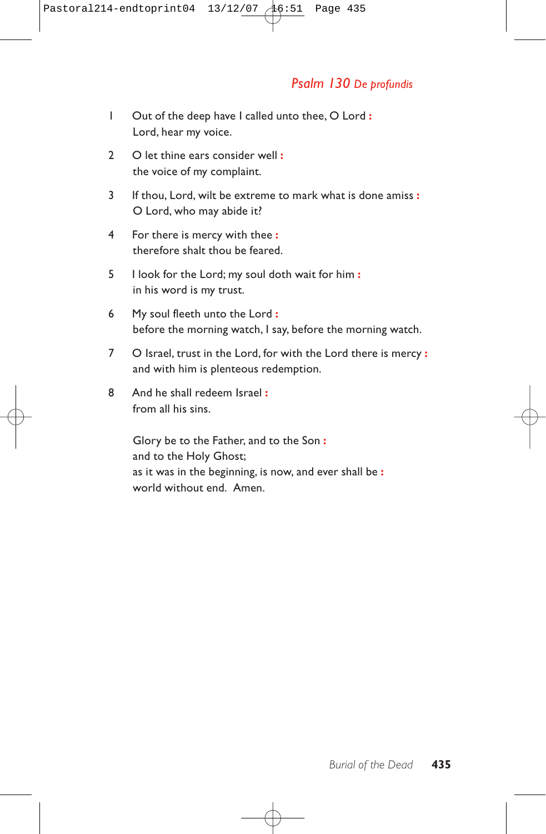# *Psalm 130 De profundis*

- 1 Out of the deep have I called unto thee, O Lord **:** Lord, hear my voice.
- 2 O let thine ears consider well **:** the voice of my complaint.
- 3 If thou, Lord, wilt be extreme to mark what is done amiss **:** O Lord, who may abide it?
- 4 For there is mercy with thee **:** therefore shalt thou be feared.
- 5 I look for the Lord; my soul doth wait for him **:** in his word is my trust.
- 6 My soul fleeth unto the Lord **:** before the morning watch, I say, before the morning watch.
- 7 O Israel, trust in the Lord, for with the Lord there is mercy **:** and with him is plenteous redemption.
- 8 And he shall redeem Israel **:** from all his sins.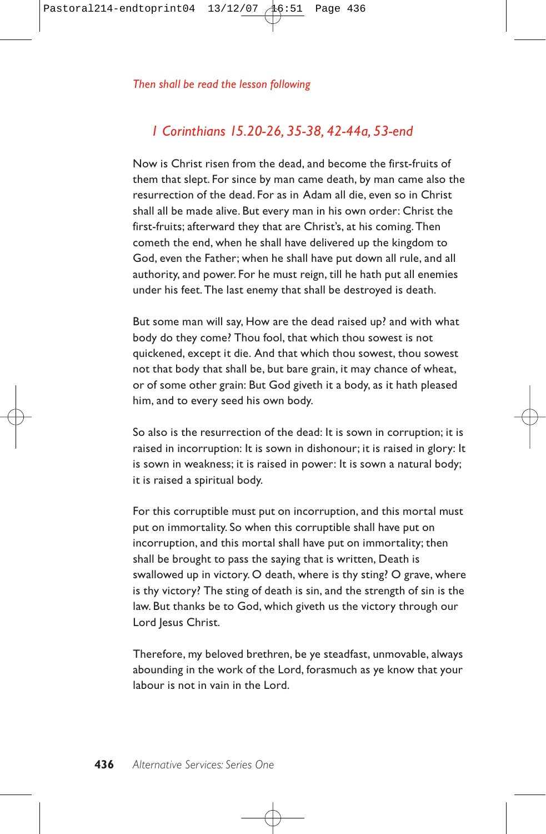# *1 Corinthians 15.20-26, 35-38, 42-44a, 53-end*

Now is Christ risen from the dead, and become the first-fruits of them that slept. For since by man came death, by man came also the resurrection of the dead. For as in Adam all die, even so in Christ shall all be made alive. But every man in his own order: Christ the first-fruits; afterward they that are Christ's, at his coming. Then cometh the end, when he shall have delivered up the kingdom to God, even the Father; when he shall have put down all rule, and all authority, and power. For he must reign, till he hath put all enemies under his feet. The last enemy that shall be destroyed is death.

But some man will say, How are the dead raised up? and with what body do they come? Thou fool, that which thou sowest is not quickened, except it die. And that which thou sowest, thou sowest not that body that shall be, but bare grain, it may chance of wheat, or of some other grain: But God giveth it a body, as it hath pleased him, and to every seed his own body.

So also is the resurrection of the dead: It is sown in corruption; it is raised in incorruption: It is sown in dishonour; it is raised in glory: It is sown in weakness; it is raised in power: It is sown a natural body; it is raised a spiritual body.

For this corruptible must put on incorruption, and this mortal must put on immortality. So when this corruptible shall have put on incorruption, and this mortal shall have put on immortality; then shall be brought to pass the saying that is written, Death is swallowed up in victory. O death, where is thy sting? O grave, where is thy victory? The sting of death is sin, and the strength of sin is the law. But thanks be to God, which giveth us the victory through our Lord Jesus Christ.

Therefore, my beloved brethren, be ye steadfast, unmovable, always abounding in the work of the Lord, forasmuch as ye know that your labour is not in vain in the Lord.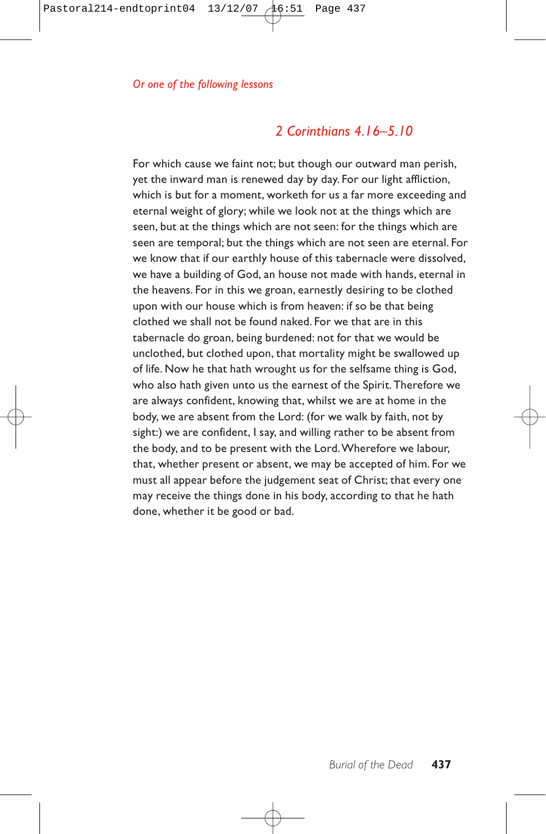# *2 Corinthians 4.16–5.10*

For which cause we faint not; but though our outward man perish, yet the inward man is renewed day by day. For our light affliction, which is but for a moment, worketh for us a far more exceeding and eternal weight of glory; while we look not at the things which are seen, but at the things which are not seen: for the things which are seen are temporal; but the things which are not seen are eternal. For we know that if our earthly house of this tabernacle were dissolved, we have a building of God, an house not made with hands, eternal in the heavens. For in this we groan, earnestly desiring to be clothed upon with our house which is from heaven: if so be that being clothed we shall not be found naked. For we that are in this tabernacle do groan, being burdened: not for that we would be unclothed, but clothed upon, that mortality might be swallowed up of life. Now he that hath wrought us for the selfsame thing is God, who also hath given unto us the earnest of the Spirit. Therefore we are always confident, knowing that, whilst we are at home in the body, we are absent from the Lord: (for we walk by faith, not by sight:) we are confident, I say, and willing rather to be absent from the body, and to be present with the Lord.Wherefore we labour, that, whether present or absent, we may be accepted of him. For we must all appear before the judgement seat of Christ; that every one may receive the things done in his body, according to that he hath done, whether it be good or bad.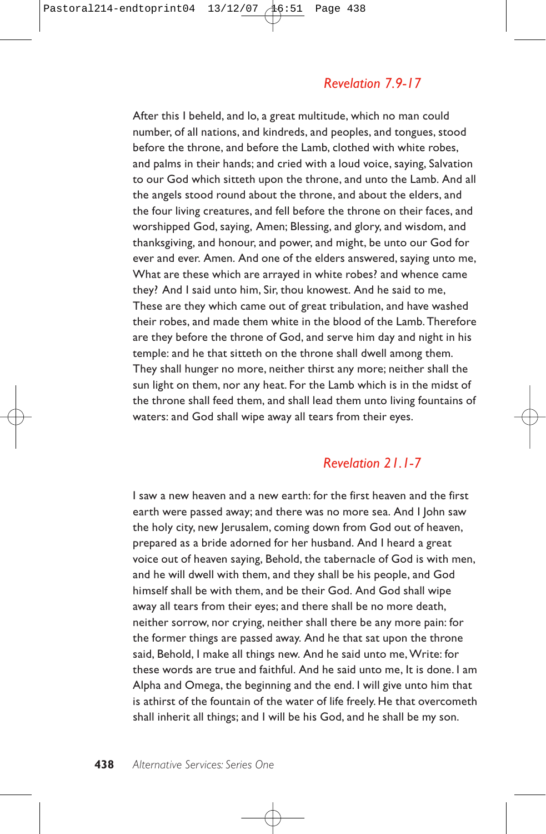## *Revelation 7.9-17*

After this I beheld, and lo, a great multitude, which no man could number, of all nations, and kindreds, and peoples, and tongues, stood before the throne, and before the Lamb, clothed with white robes, and palms in their hands; and cried with a loud voice, saying, Salvation to our God which sitteth upon the throne, and unto the Lamb. And all the angels stood round about the throne, and about the elders, and the four living creatures, and fell before the throne on their faces, and worshipped God, saying, Amen; Blessing, and glory, and wisdom, and thanksgiving, and honour, and power, and might, be unto our God for ever and ever. Amen. And one of the elders answered, saying unto me, What are these which are arrayed in white robes? and whence came they? And I said unto him, Sir, thou knowest. And he said to me, These are they which came out of great tribulation, and have washed their robes, and made them white in the blood of the Lamb. Therefore are they before the throne of God, and serve him day and night in his temple: and he that sitteth on the throne shall dwell among them. They shall hunger no more, neither thirst any more; neither shall the sun light on them, nor any heat. For the Lamb which is in the midst of the throne shall feed them, and shall lead them unto living fountains of waters: and God shall wipe away all tears from their eyes.

# *Revelation 21.1-7*

I saw a new heaven and a new earth: for the first heaven and the first earth were passed away; and there was no more sea. And I John saw the holy city, new Jerusalem, coming down from God out of heaven, prepared as a bride adorned for her husband. And I heard a great voice out of heaven saying, Behold, the tabernacle of God is with men, and he will dwell with them, and they shall be his people, and God himself shall be with them, and be their God. And God shall wipe away all tears from their eyes; and there shall be no more death, neither sorrow, nor crying, neither shall there be any more pain: for the former things are passed away. And he that sat upon the throne said, Behold, I make all things new. And he said unto me, Write: for these words are true and faithful. And he said unto me, It is done. I am Alpha and Omega, the beginning and the end. I will give unto him that is athirst of the fountain of the water of life freely. He that overcometh shall inherit all things; and I will be his God, and he shall be my son.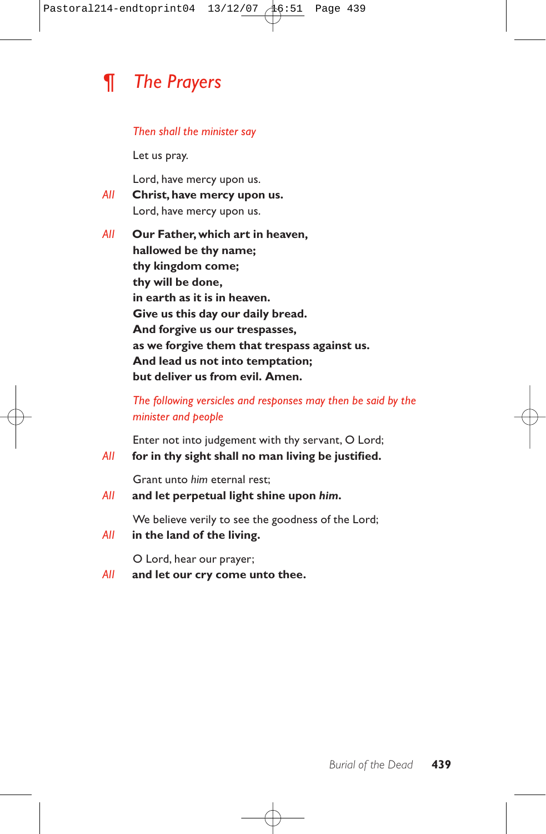

#### *Then shall the minister say*

Let us pray.

Lord, have mercy upon us.

- *All* **Christ, have mercy upon us.** Lord, have mercy upon us.
- *All* **Our Father, which art in heaven, hallowed be thy name; thy kingdom come; thy will be done, in earth as it is in heaven. Give us this day our daily bread. And forgive us our trespasses, as we forgive them that trespass against us. And lead us not into temptation; but deliver us from evil. Amen.**

*The following versicles and responses may then be said by the minister and people*

Enter not into judgement with thy servant, O Lord; *All* **for in thy sight shall no man living be justified.**

Grant unto *him* eternal rest;

*All* **and let perpetual light shine upon** *him***.**

We believe verily to see the goodness of the Lord;

*All* **in the land of the living.**

O Lord, hear our prayer;

*All* **and let our cry come unto thee.**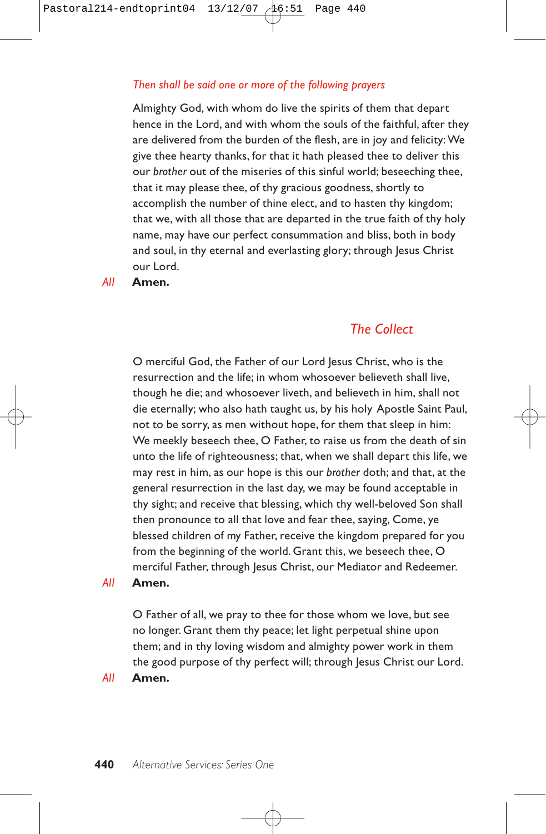#### *Then shall be said one or more of the following prayers*

Almighty God, with whom do live the spirits of them that depart hence in the Lord, and with whom the souls of the faithful, after they are delivered from the burden of the flesh, are in joy and felicity: We give thee hearty thanks, for that it hath pleased thee to deliver this our *brother* out of the miseries of this sinful world; beseeching thee, that it may please thee, of thy gracious goodness, shortly to accomplish the number of thine elect, and to hasten thy kingdom; that we, with all those that are departed in the true faith of thy holy name, may have our perfect consummation and bliss, both in body and soul, in thy eternal and everlasting glory; through Jesus Christ our Lord.

#### *All* **Amen.**

# *The Collect*

O merciful God, the Father of our Lord Jesus Christ, who is the resurrection and the life; in whom whosoever believeth shall live, though he die; and whosoever liveth, and believeth in him, shall not die eternally; who also hath taught us, by his holy Apostle Saint Paul, not to be sorry, as men without hope, for them that sleep in him: We meekly beseech thee, O Father, to raise us from the death of sin unto the life of righteousness; that, when we shall depart this life, we may rest in him, as our hope is this our *brother* doth; and that, at the general resurrection in the last day, we may be found acceptable in thy sight; and receive that blessing, which thy well-beloved Son shall then pronounce to all that love and fear thee, saying, Come, ye blessed children of my Father, receive the kingdom prepared for you from the beginning of the world. Grant this, we beseech thee, O merciful Father, through Jesus Christ, our Mediator and Redeemer.

#### *All* **Amen.**

O Father of all, we pray to thee for those whom we love, but see no longer. Grant them thy peace; let light perpetual shine upon them; and in thy loving wisdom and almighty power work in them the good purpose of thy perfect will; through Jesus Christ our Lord.

#### *All* **Amen.**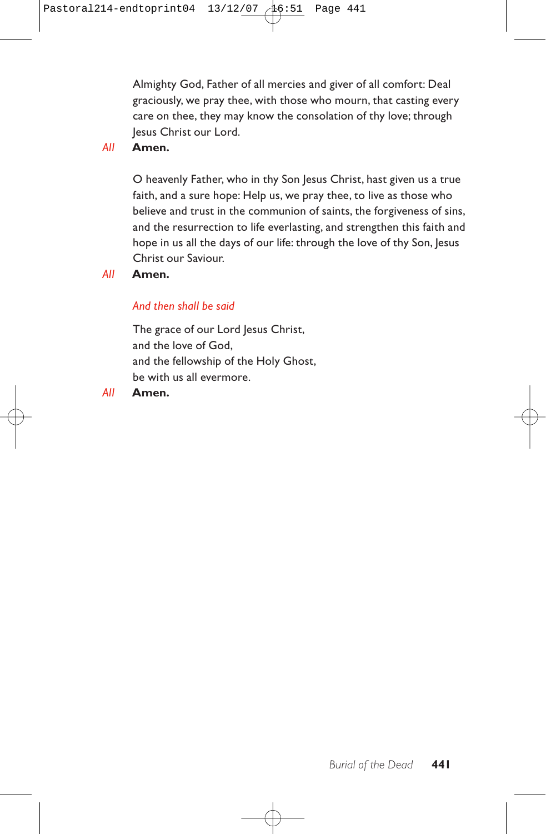Almighty God, Father of all mercies and giver of all comfort: Deal graciously, we pray thee, with those who mourn, that casting every care on thee, they may know the consolation of thy love; through Jesus Christ our Lord.

*All* **Amen.**

O heavenly Father, who in thy Son Jesus Christ, hast given us a true faith, and a sure hope: Help us, we pray thee, to live as those who believe and trust in the communion of saints, the forgiveness of sins, and the resurrection to life everlasting, and strengthen this faith and hope in us all the days of our life: through the love of thy Son, Jesus Christ our Saviour.

*All* **Amen.**

### *And then shall be said*

The grace of our Lord Jesus Christ, and the love of God, and the fellowship of the Holy Ghost, be with us all evermore.

*All* **Amen.**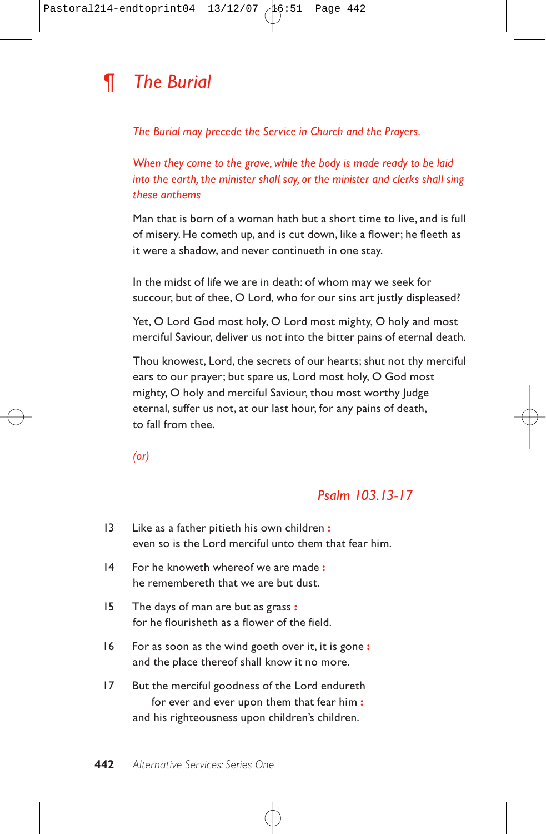

*The Burial may precede the Service in Church and the Prayers.*

*When they come to the grave, while the body is made ready to be laid into the earth, the minister shall say, or the minister and clerks shall sing these anthems*

Man that is born of a woman hath but a short time to live, and is full of misery. He cometh up, and is cut down, like a flower; he fleeth as it were a shadow, and never continueth in one stay.

In the midst of life we are in death: of whom may we seek for succour, but of thee, O Lord, who for our sins art justly displeased?

Yet, O Lord God most holy, O Lord most mighty, O holy and most merciful Saviour, deliver us not into the bitter pains of eternal death.

Thou knowest, Lord, the secrets of our hearts; shut not thy merciful ears to our prayer; but spare us, Lord most holy, O God most mighty, O holy and merciful Saviour, thou most worthy Judge eternal, suffer us not, at our last hour, for any pains of death, to fall from thee.

*(or)*

# *Psalm 103.13-17*

| 13 | Like as a father pitieth his own children:<br>even so is the Lord merciful unto them that fear him.                                             |
|----|-------------------------------------------------------------------------------------------------------------------------------------------------|
| 4  | For he knoweth whereof we are made:<br>he remembereth that we are but dust.                                                                     |
| 15 | The days of man are but as grass:<br>for he flourisheth as a flower of the field.                                                               |
| 16 | For as soon as the wind goeth over it, it is gone:<br>and the place thereof shall know it no more.                                              |
| 17 | But the merciful goodness of the Lord endureth<br>for ever and ever upon them that fear him:<br>and his righteousness upon children's children. |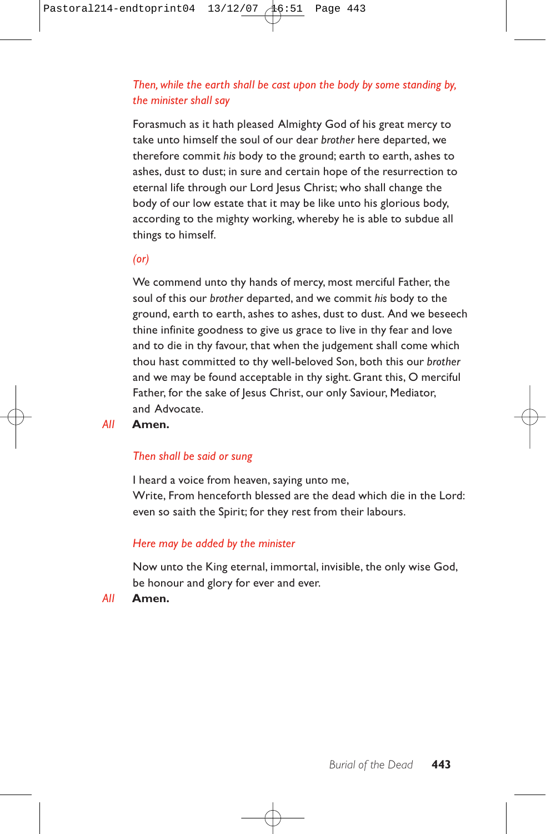### *Then, while the earth shall be cast upon the body by some standing by, the minister shall say*

Forasmuch as it hath pleased Almighty God of his great mercy to take unto himself the soul of our dear *brother* here departed, we therefore commit *his* body to the ground; earth to earth, ashes to ashes, dust to dust; in sure and certain hope of the resurrection to eternal life through our Lord Jesus Christ; who shall change the body of our low estate that it may be like unto his glorious body, according to the mighty working, whereby he is able to subdue all things to himself.

#### *(or)*

We commend unto thy hands of mercy, most merciful Father, the soul of this our *brother* departed, and we commit *his* body to the ground, earth to earth, ashes to ashes, dust to dust. And we beseech thine infinite goodness to give us grace to live in thy fear and love and to die in thy favour, that when the judgement shall come which thou hast committed to thy well-beloved Son, both this our *brother* and we may be found acceptable in thy sight. Grant this, O merciful Father, for the sake of Jesus Christ, our only Saviour, Mediator, and Advocate.

#### *All* **Amen.**

#### *Then shall be said or sung*

I heard a voice from heaven, saying unto me, Write, From henceforth blessed are the dead which die in the Lord: even so saith the Spirit; for they rest from their labours.

#### *Here may be added by the minister*

Now unto the King eternal, immortal, invisible, the only wise God, be honour and glory for ever and ever.

*All* **Amen.**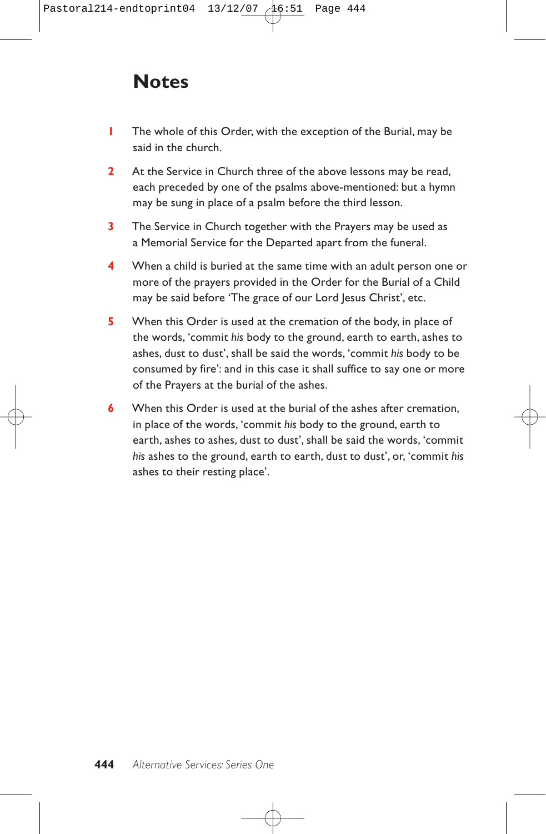# **Notes**

- **1** The whole of this Order, with the exception of the Burial, may be said in the church.
- **2** At the Service in Church three of the above lessons may be read, each preceded by one of the psalms above-mentioned: but a hymn may be sung in place of a psalm before the third lesson.
- **3** The Service in Church together with the Prayers may be used as a Memorial Service for the Departed apart from the funeral.
- **4** When a child is buried at the same time with an adult person one or more of the prayers provided in the Order for the Burial of a Child may be said before 'The grace of our Lord Jesus Christ', etc.
- **5** When this Order is used at the cremation of the body, in place of the words, 'commit *his* body to the ground, earth to earth, ashes to ashes, dust to dust', shall be said the words, 'commit *his* body to be consumed by fire': and in this case it shall suffice to say one or more of the Prayers at the burial of the ashes.
- **6** When this Order is used at the burial of the ashes after cremation, in place of the words, 'commit *his* body to the ground, earth to earth, ashes to ashes, dust to dust', shall be said the words, 'commit *his* ashes to the ground, earth to earth, dust to dust', or, 'commit *his* ashes to their resting place'.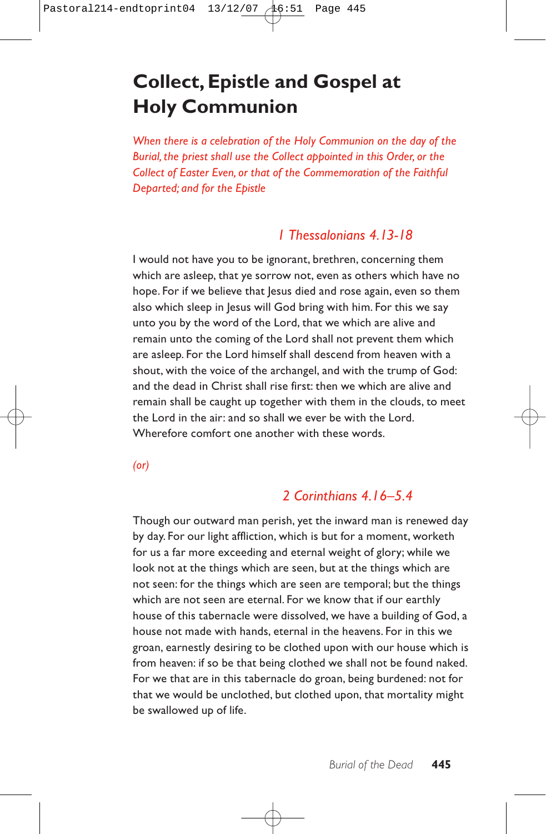# **Collect, Epistle and Gospel at Holy Communion**

*When there is a celebration of the Holy Communion on the day of the Burial, the priest shall use the Collect appointed in this Order, or the Collect of Easter Even, or that of the Commemoration of the Faithful Departed; and for the Epistle*

# *1 Thessalonians 4.13-18*

I would not have you to be ignorant, brethren, concerning them which are asleep, that ye sorrow not, even as others which have no hope. For if we believe that lesus died and rose again, even so them also which sleep in Jesus will God bring with him. For this we say unto you by the word of the Lord, that we which are alive and remain unto the coming of the Lord shall not prevent them which are asleep. For the Lord himself shall descend from heaven with a shout, with the voice of the archangel, and with the trump of God: and the dead in Christ shall rise first: then we which are alive and remain shall be caught up together with them in the clouds, to meet the Lord in the air: and so shall we ever be with the Lord. Wherefore comfort one another with these words.

*(or)*

# *2 Corinthians 4.16–5.4*

Though our outward man perish, yet the inward man is renewed day by day. For our light affliction, which is but for a moment, worketh for us a far more exceeding and eternal weight of glory; while we look not at the things which are seen, but at the things which are not seen: for the things which are seen are temporal; but the things which are not seen are eternal. For we know that if our earthly house of this tabernacle were dissolved, we have a building of God, a house not made with hands, eternal in the heavens. For in this we groan, earnestly desiring to be clothed upon with our house which is from heaven: if so be that being clothed we shall not be found naked. For we that are in this tabernacle do groan, being burdened: not for that we would be unclothed, but clothed upon, that mortality might be swallowed up of life.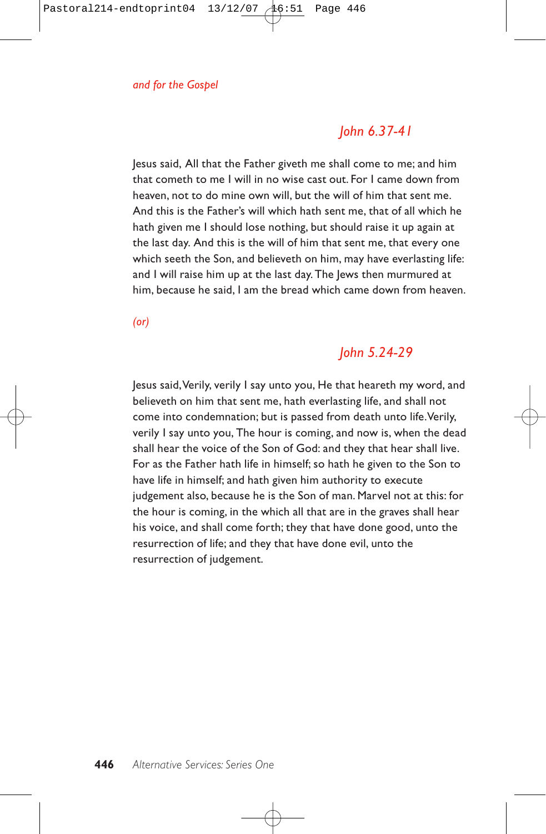# *John 6.37-41*

Jesus said, All that the Father giveth me shall come to me; and him that cometh to me I will in no wise cast out. For I came down from heaven, not to do mine own will, but the will of him that sent me. And this is the Father's will which hath sent me, that of all which he hath given me I should lose nothing, but should raise it up again at the last day. And this is the will of him that sent me, that every one which seeth the Son, and believeth on him, may have everlasting life: and I will raise him up at the last day. The Jews then murmured at him, because he said, I am the bread which came down from heaven.

*(or)*

# *John 5.24-29*

Jesus said,Verily, verily I say unto you, He that heareth my word, and believeth on him that sent me, hath everlasting life, and shall not come into condemnation; but is passed from death unto life.Verily, verily I say unto you, The hour is coming, and now is, when the dead shall hear the voice of the Son of God: and they that hear shall live. For as the Father hath life in himself; so hath he given to the Son to have life in himself; and hath given him authority to execute judgement also, because he is the Son of man. Marvel not at this: for the hour is coming, in the which all that are in the graves shall hear his voice, and shall come forth; they that have done good, unto the resurrection of life; and they that have done evil, unto the resurrection of judgement.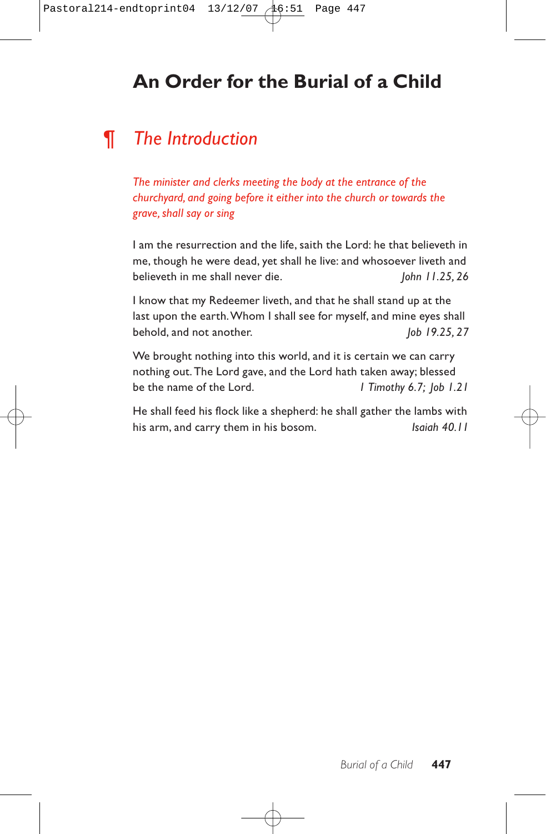# **An Order for the Burial of a Child**

# *¶ The Introduction*

*The minister and clerks meeting the body at the entrance of the churchyard, and going before it either into the church or towards the grave, shall say or sing*

I am the resurrection and the life, saith the Lord: he that believeth in me, though he were dead, yet shall he live: and whosoever liveth and believeth in me shall never die. *John 11.25, 26*

I know that my Redeemer liveth, and that he shall stand up at the last upon the earth.Whom I shall see for myself, and mine eyes shall behold, and not another. *Job 19.25, 27* 

We brought nothing into this world, and it is certain we can carry nothing out. The Lord gave, and the Lord hath taken away; blessed be the name of the Lord. *1 Timothy 6.7; Job 1.21*

He shall feed his flock like a shepherd: he shall gather the lambs with his arm, and carry them in his bosom. *Isaiah 40.11*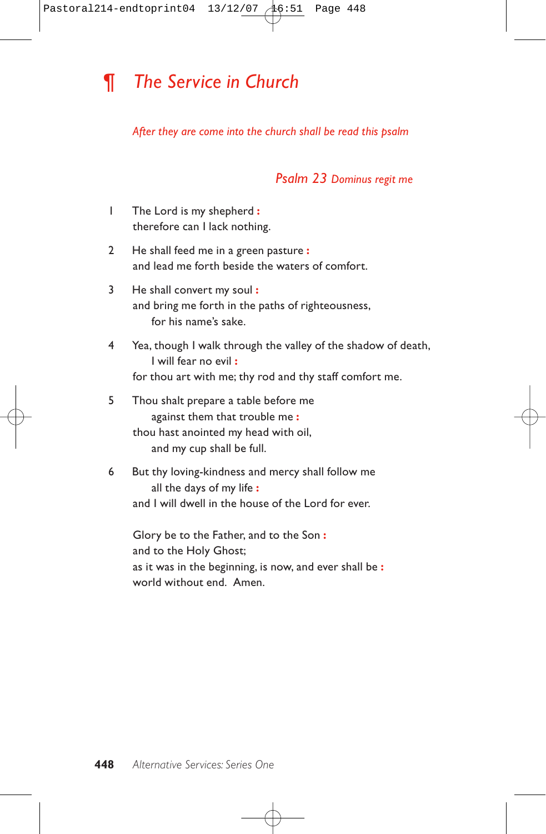# *¶ The Service in Church*

#### *After they are come into the church shall be read this psalm*

### *Psalm 23 Dominus regit me*

- 1 The Lord is my shepherd **:** therefore can I lack nothing.
- 2 He shall feed me in a green pasture **:** and lead me forth beside the waters of comfort.
- 3 He shall convert my soul **:** and bring me forth in the paths of righteousness, for his name's sake.
- 4 Yea, though I walk through the valley of the shadow of death, I will fear no evil **:** for thou art with me; thy rod and thy staff comfort me.
- 5 Thou shalt prepare a table before me against them that trouble me **:** thou hast anointed my head with oil, and my cup shall be full.
- 6 But thy loving-kindness and mercy shall follow me all the days of my life **:** and I will dwell in the house of the Lord for ever.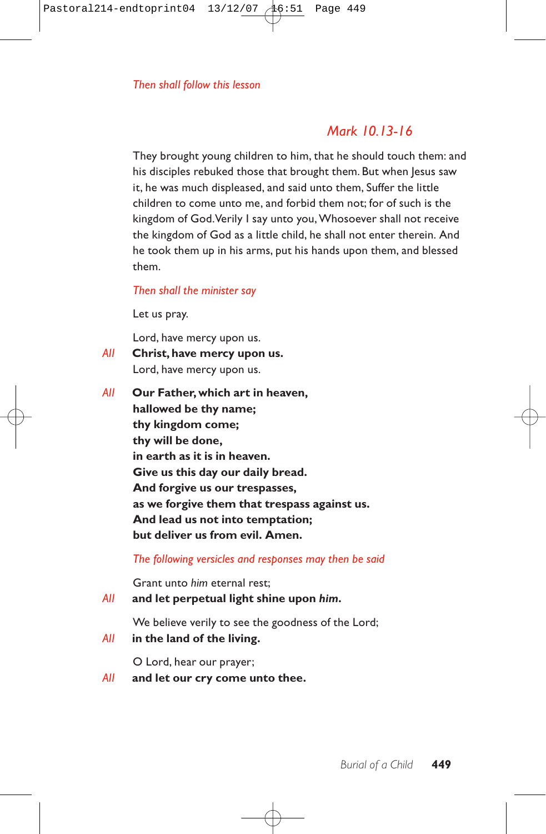# *Mark 10.13-16*

They brought young children to him, that he should touch them: and his disciples rebuked those that brought them. But when Jesus saw it, he was much displeased, and said unto them, Suffer the little children to come unto me, and forbid them not; for of such is the kingdom of God.Verily I say unto you, Whosoever shall not receive the kingdom of God as a little child, he shall not enter therein. And he took them up in his arms, put his hands upon them, and blessed them.

#### *Then shall the minister say*

Let us pray.

Lord, have mercy upon us.

- *All* **Christ, have mercy upon us.** Lord, have mercy upon us.
- *All* **Our Father, which art in heaven, hallowed be thy name; thy kingdom come; thy will be done, in earth as it is in heaven. Give us this day our daily bread. And forgive us our trespasses, as we forgive them that trespass against us. And lead us not into temptation; but deliver us from evil. Amen.**

*The following versicles and responses may then be said*

Grant unto *him* eternal rest;

#### *All* **and let perpetual light shine upon** *him***.**

We believe verily to see the goodness of the Lord;

*All* **in the land of the living.**

O Lord, hear our prayer;

*All* **and let our cry come unto thee.**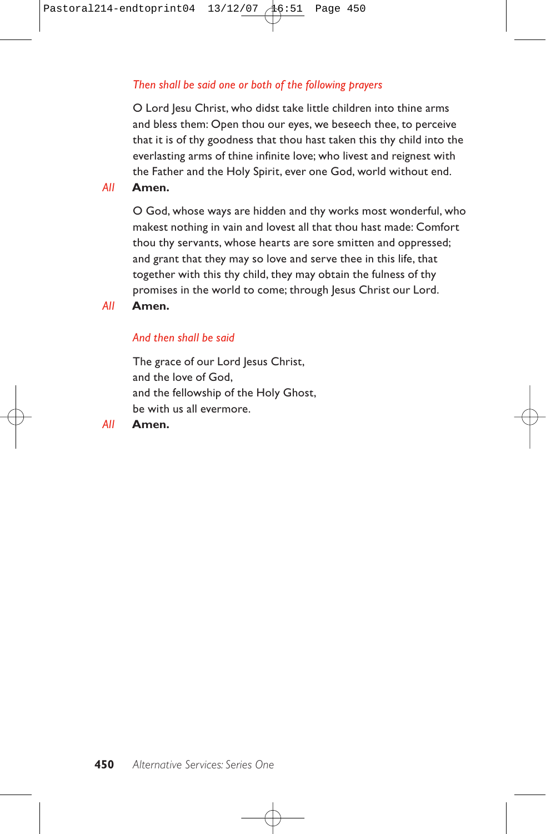#### *Then shall be said one or both of the following prayers*

O Lord Jesu Christ, who didst take little children into thine arms and bless them: Open thou our eyes, we beseech thee, to perceive that it is of thy goodness that thou hast taken this thy child into the everlasting arms of thine infinite love; who livest and reignest with the Father and the Holy Spirit, ever one God, world without end.

#### *All* **Amen.**

O God, whose ways are hidden and thy works most wonderful, who makest nothing in vain and lovest all that thou hast made: Comfort thou thy servants, whose hearts are sore smitten and oppressed; and grant that they may so love and serve thee in this life, that together with this thy child, they may obtain the fulness of thy promises in the world to come; through Jesus Christ our Lord.

#### *All* **Amen.**

#### *And then shall be said*

The grace of our Lord Jesus Christ, and the love of God, and the fellowship of the Holy Ghost, be with us all evermore.

#### *All* **Amen.**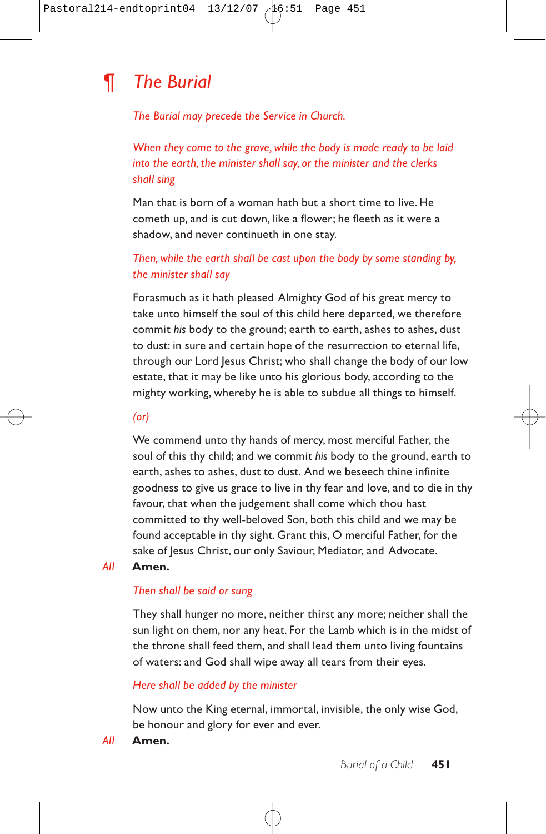# *¶ The Burial*

*The Burial may precede the Service in Church.*

*When they come to the grave, while the body is made ready to be laid into the earth, the minister shall say, or the minister and the clerks shall sing*

Man that is born of a woman hath but a short time to live. He cometh up, and is cut down, like a flower; he fleeth as it were a shadow, and never continueth in one stay.

## *Then, while the earth shall be cast upon the body by some standing by, the minister shall say*

Forasmuch as it hath pleased Almighty God of his great mercy to take unto himself the soul of this child here departed, we therefore commit *his* body to the ground; earth to earth, ashes to ashes, dust to dust: in sure and certain hope of the resurrection to eternal life, through our Lord Jesus Christ; who shall change the body of our low estate, that it may be like unto his glorious body, according to the mighty working, whereby he is able to subdue all things to himself.

*(or)*

We commend unto thy hands of mercy, most merciful Father, the soul of this thy child; and we commit *his* body to the ground, earth to earth, ashes to ashes, dust to dust. And we beseech thine infinite goodness to give us grace to live in thy fear and love, and to die in thy favour, that when the judgement shall come which thou hast committed to thy well-beloved Son, both this child and we may be found acceptable in thy sight. Grant this, O merciful Father, for the sake of Jesus Christ, our only Saviour, Mediator, and Advocate.

#### *All* **Amen.**

#### *Then shall be said or sung*

They shall hunger no more, neither thirst any more; neither shall the sun light on them, nor any heat. For the Lamb which is in the midst of the throne shall feed them, and shall lead them unto living fountains of waters: and God shall wipe away all tears from their eyes.

### *Here shall be added by the minister*

Now unto the King eternal, immortal, invisible, the only wise God, be honour and glory for ever and ever.

*All* **Amen.**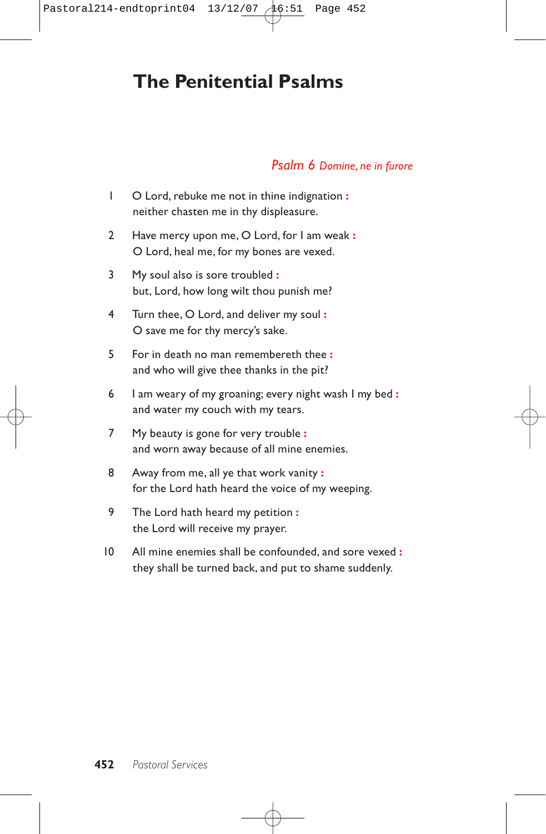# **The Penitential Psalms**

### *Psalm 6 Domine, ne in furore*

- 1 O Lord, rebuke me not in thine indignation **:** neither chasten me in thy displeasure.
- 2 Have mercy upon me, O Lord, for I am weak **:** O Lord, heal me, for my bones are vexed.
- 3 My soul also is sore troubled **:** but, Lord, how long wilt thou punish me?
- 4 Turn thee, O Lord, and deliver my soul **:** O save me for thy mercy's sake.
- 5 For in death no man remembereth thee **:** and who will give thee thanks in the pit?
- 6 I am weary of my groaning; every night wash I my bed **:** and water my couch with my tears.
- 7 My beauty is gone for very trouble **:** and worn away because of all mine enemies.
- 8 Away from me, all ye that work vanity **:** for the Lord hath heard the voice of my weeping.
- 9 The Lord hath heard my petition **:** the Lord will receive my prayer.
- 10 All mine enemies shall be confounded, and sore vexed **:** they shall be turned back, and put to shame suddenly.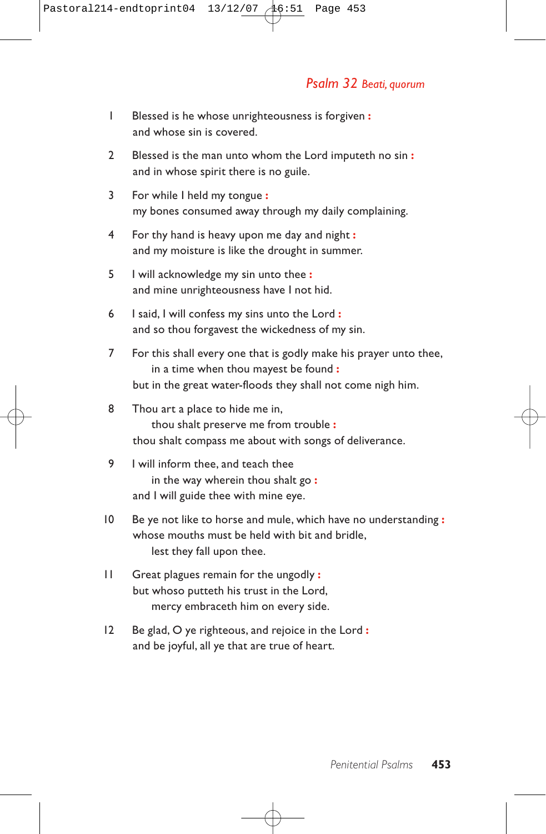## *Psalm 32 Beati, quorum*

- 1 Blessed is he whose unrighteousness is forgiven **:** and whose sin is covered.
- 2 Blessed is the man unto whom the Lord imputeth no sin **:** and in whose spirit there is no guile.
- 3 For while I held my tongue **:** my bones consumed away through my daily complaining.
- 4 For thy hand is heavy upon me day and night **:** and my moisture is like the drought in summer.
- 5 I will acknowledge my sin unto thee **:** and mine unrighteousness have I not hid.
- 6 I said, I will confess my sins unto the Lord **:** and so thou forgavest the wickedness of my sin.
- 7 For this shall every one that is godly make his prayer unto thee, in a time when thou mayest be found **:** but in the great water-floods they shall not come nigh him.
- 8 Thou art a place to hide me in, thou shalt preserve me from trouble **:** thou shalt compass me about with songs of deliverance.
- 9 I will inform thee, and teach thee in the way wherein thou shalt go **:** and I will guide thee with mine eye.
- 10 Be ye not like to horse and mule, which have no understanding **:** whose mouths must be held with bit and bridle, lest they fall upon thee.
- 11 Great plagues remain for the ungodly **:** but whoso putteth his trust in the Lord, mercy embraceth him on every side.
- 12 Be glad, O ye righteous, and rejoice in the Lord **:** and be joyful, all ye that are true of heart.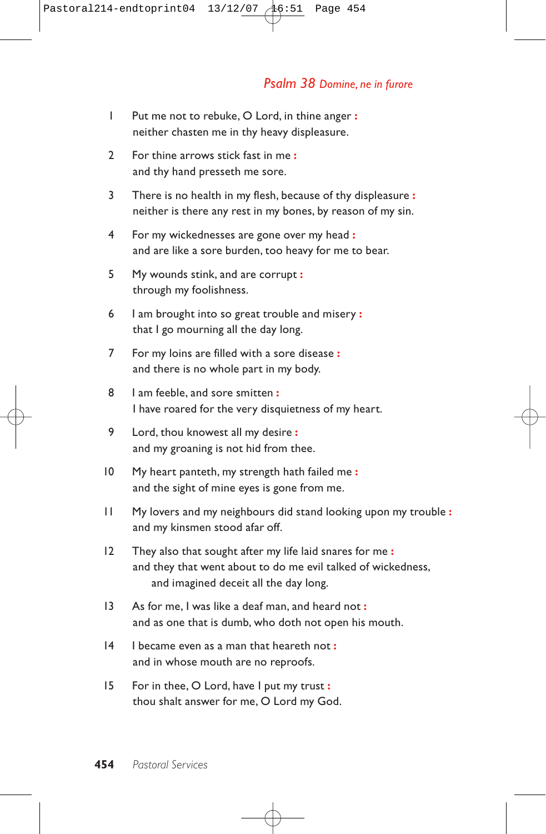- 1 Put me not to rebuke, O Lord, in thine anger **:** neither chasten me in thy heavy displeasure.
- 2 For thine arrows stick fast in me **:** and thy hand presseth me sore.
- 3 There is no health in my flesh, because of thy displeasure **:** neither is there any rest in my bones, by reason of my sin.
- 4 For my wickednesses are gone over my head **:** and are like a sore burden, too heavy for me to bear.
- 5 My wounds stink, and are corrupt **:** through my foolishness.
- 6 I am brought into so great trouble and misery **:** that I go mourning all the day long.
- 7 For my loins are filled with a sore disease **:** and there is no whole part in my body.
- 8 I am feeble, and sore smitten **:** I have roared for the very disquietness of my heart.
- 9 Lord, thou knowest all my desire **:** and my groaning is not hid from thee.
- 10 My heart panteth, my strength hath failed me **:** and the sight of mine eyes is gone from me.
- 11 My lovers and my neighbours did stand looking upon my trouble **:** and my kinsmen stood afar off.
- 12 They also that sought after my life laid snares for me **:** and they that went about to do me evil talked of wickedness, and imagined deceit all the day long.
- 13 As for me, I was like a deaf man, and heard not **:** and as one that is dumb, who doth not open his mouth.
- 14 I became even as a man that heareth not **:** and in whose mouth are no reproofs.
- 15 For in thee, O Lord, have I put my trust **:** thou shalt answer for me, O Lord my God.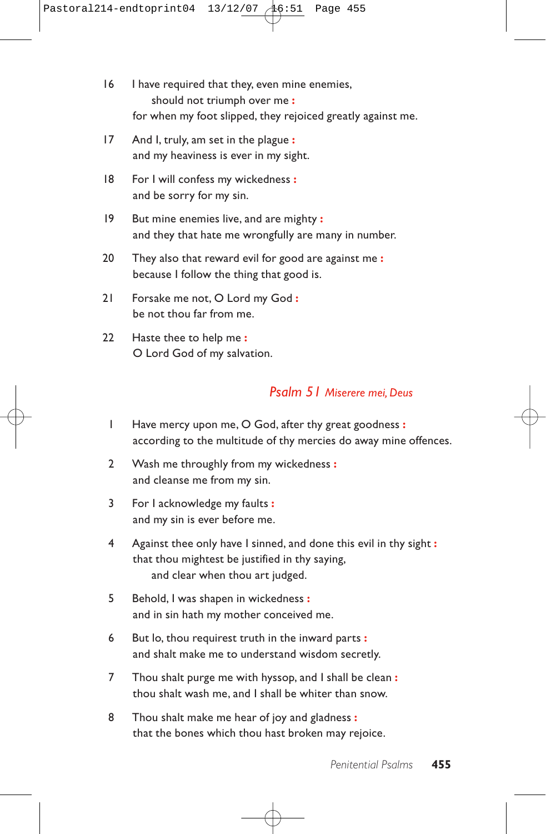- 16 I have required that they, even mine enemies, should not triumph over me **:** for when my foot slipped, they rejoiced greatly against me.
- 17 And I, truly, am set in the plague **:** and my heaviness is ever in my sight.
- 18 For I will confess my wickedness **:** and be sorry for my sin.
- 19 But mine enemies live, and are mighty **:** and they that hate me wrongfully are many in number.
- 20 They also that reward evil for good are against me **:** because I follow the thing that good is.
- 21 Forsake me not, O Lord my God **:** be not thou far from me.
- 22 Haste thee to help me **:** O Lord God of my salvation.

# *Psalm 51 Miserere mei, Deus*

- 1 Have mercy upon me, O God, after thy great goodness **:** according to the multitude of thy mercies do away mine offences.
- 2 Wash me throughly from my wickedness **:** and cleanse me from my sin.
- 3 For I acknowledge my faults **:** and my sin is ever before me.
- 4 Against thee only have I sinned, and done this evil in thy sight **:** that thou mightest be justified in thy saying, and clear when thou art judged.
- 5 Behold, I was shapen in wickedness **:** and in sin hath my mother conceived me.
- 6 But lo, thou requirest truth in the inward parts **:** and shalt make me to understand wisdom secretly.
- 7 Thou shalt purge me with hyssop, and I shall be clean **:** thou shalt wash me, and I shall be whiter than snow.
- 8 Thou shalt make me hear of joy and gladness **:** that the bones which thou hast broken may rejoice.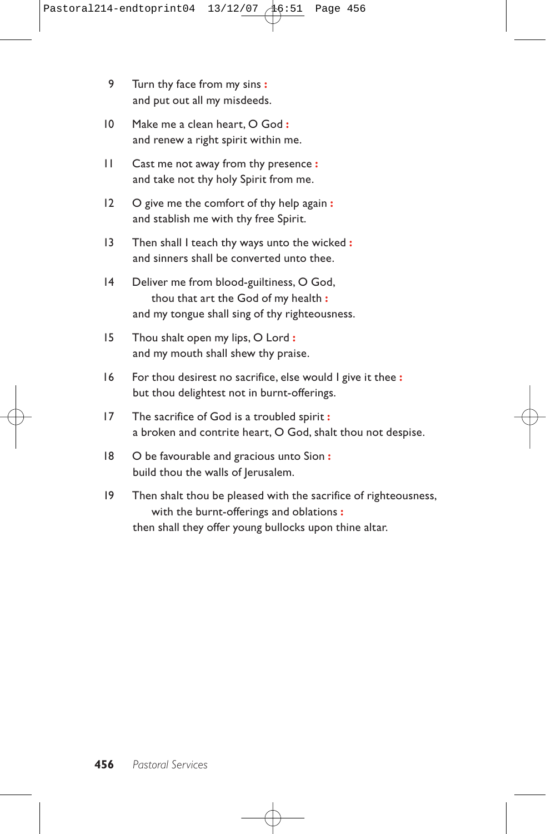- 9 Turn thy face from my sins **:** and put out all my misdeeds.
- 10 Make me a clean heart, O God **:** and renew a right spirit within me.
- 11 Cast me not away from thy presence **:** and take not thy holy Spirit from me.
- 12 O give me the comfort of thy help again **:** and stablish me with thy free Spirit.
- 13 Then shall I teach thy ways unto the wicked **:** and sinners shall be converted unto thee.
- 14 Deliver me from blood-guiltiness, O God, thou that art the God of my health **:** and my tongue shall sing of thy righteousness.
- 15 Thou shalt open my lips, O Lord **:** and my mouth shall shew thy praise.
- 16 For thou desirest no sacrifice, else would I give it thee **:** but thou delightest not in burnt-offerings.
- 17 The sacrifice of God is a troubled spirit **:** a broken and contrite heart, O God, shalt thou not despise.
- 18 O be favourable and gracious unto Sion **:** build thou the walls of Jerusalem.
- 19 Then shalt thou be pleased with the sacrifice of righteousness, with the burnt-offerings and oblations **:** then shall they offer young bullocks upon thine altar.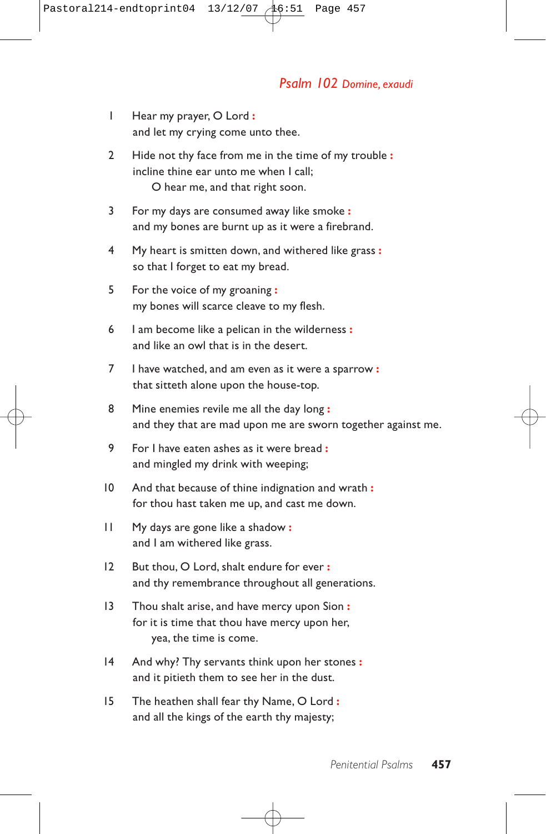### *Psalm 102 Domine, exaudi*

- 1 Hear my prayer, O Lord **:** and let my crying come unto thee.
- 2 Hide not thy face from me in the time of my trouble **:** incline thine ear unto me when I call; O hear me, and that right soon.
- 3 For my days are consumed away like smoke **:** and my bones are burnt up as it were a firebrand.
- 4 My heart is smitten down, and withered like grass **:** so that I forget to eat my bread.
- 5 For the voice of my groaning **:** my bones will scarce cleave to my flesh.
- 6 I am become like a pelican in the wilderness **:** and like an owl that is in the desert.
- 7 I have watched, and am even as it were a sparrow **:** that sitteth alone upon the house-top.
- 8 Mine enemies revile me all the day long **:** and they that are mad upon me are sworn together against me.
- 9 For I have eaten ashes as it were bread **:** and mingled my drink with weeping;
- 10 And that because of thine indignation and wrath **:** for thou hast taken me up, and cast me down.
- 11 My days are gone like a shadow **:** and I am withered like grass.
- 12 But thou, O Lord, shalt endure for ever **:** and thy remembrance throughout all generations.
- 13 Thou shalt arise, and have mercy upon Sion **:** for it is time that thou have mercy upon her, yea, the time is come.
- 14 And why? Thy servants think upon her stones **:** and it pitieth them to see her in the dust.
- 15 The heathen shall fear thy Name, O Lord **:** and all the kings of the earth thy majesty;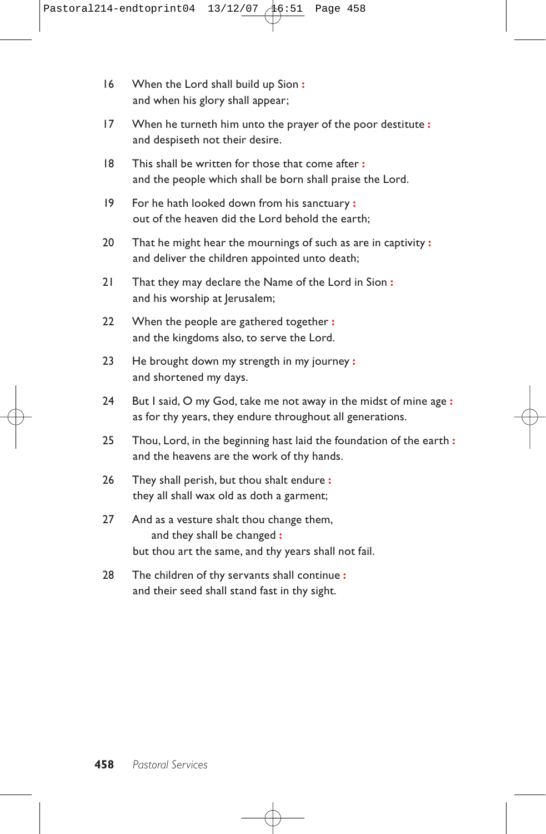- 16 When the Lord shall build up Sion **:** and when his glory shall appear;
- 17 When he turneth him unto the prayer of the poor destitute **:** and despiseth not their desire.
- 18 This shall be written for those that come after **:** and the people which shall be born shall praise the Lord.
- 19 For he hath looked down from his sanctuary **:** out of the heaven did the Lord behold the earth;
- 20 That he might hear the mournings of such as are in captivity **:** and deliver the children appointed unto death;
- 21 That they may declare the Name of the Lord in Sion **:** and his worship at Jerusalem;
- 22 When the people are gathered together **:** and the kingdoms also, to serve the Lord.
- 23 He brought down my strength in my journey **:** and shortened my days.
- 24 But I said, O my God, take me not away in the midst of mine age **:** as for thy years, they endure throughout all generations.
- 25 Thou, Lord, in the beginning hast laid the foundation of the earth **:** and the heavens are the work of thy hands.
- 26 They shall perish, but thou shalt endure **:** they all shall wax old as doth a garment;
- 27 And as a vesture shalt thou change them, and they shall be changed **:** but thou art the same, and thy years shall not fail.
- 28 The children of thy servants shall continue **:** and their seed shall stand fast in thy sight.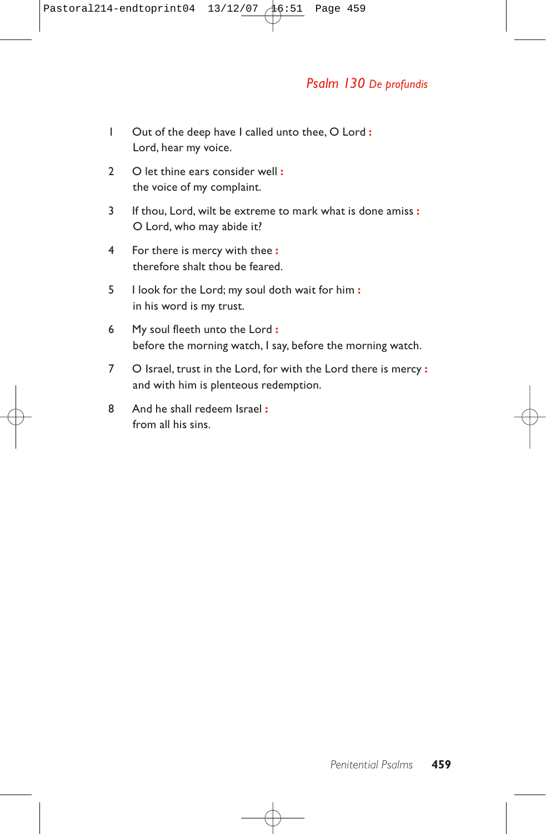# *Psalm 130 De profundis*

- 1 Out of the deep have I called unto thee, O Lord **:** Lord, hear my voice.
- 2 O let thine ears consider well **:** the voice of my complaint.
- 3 If thou, Lord, wilt be extreme to mark what is done amiss **:** O Lord, who may abide it?
- 4 For there is mercy with thee **:** therefore shalt thou be feared.
- 5 I look for the Lord; my soul doth wait for him **:** in his word is my trust.
- 6 My soul fleeth unto the Lord **:** before the morning watch, I say, before the morning watch.
- 7 O Israel, trust in the Lord, for with the Lord there is mercy **:** and with him is plenteous redemption.
- 8 And he shall redeem Israel **:** from all his sins.